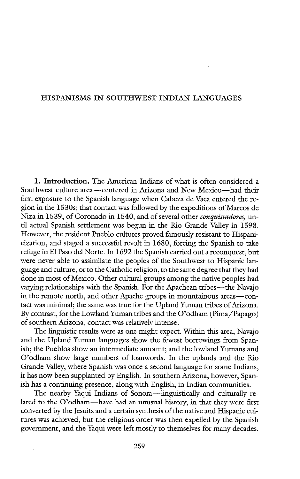## HISPANISMS IN SOUTHWEST INDIAN LANGUAGES

1. Introduction. The American Indians of what is often considered a Southwest culture area—centered in Arizona and New Mexico—had their first exposure to the Spanish language when Cabeza de Vaca entered the region in the 1530s; that contact was followed by the expeditions of Marcos de Niza in 1539, of Coronado in 1540, and of several other conquistadores, until actual Spanish settlement was begun in the Rio Grande Valley in 1598. However, the resident Pueblo cultures proved famously resistant to Hispanicization, and staged a successful revolt in 1680, forcing the Spanish to take refuge in El Paso del Norte. In 1692 the Spanish carried out a reconquest, but were never able to assimilate the peoples of the Southwest to Hispanic language and culture, or to the Catholic religion, to the same degree that they had done in most of Mexico. Other cultural groups among the native peoples had varying relationships with the Spanish. For the Apachean tribes—the Navajo in the remote north, and other Apache groups in mountainous areas—contact was minimal; the same was true for the Upland Yuman tribes of Arizona. By contrast, for the Lowland Yuman tribes and the O'odham (Pima/Papago) of southern Arizona, contact was relatively intense.

The linguistic results were as one might expect. Within this area, Navajo and the Upland Yuman languages show the fewest borrowings from Spanish; the Pueblos show an intermediate amount; and the lowland Yumans and O'odham show large numbers of loanwords. In the uplands and the Rio Grande Valley, where Spanish was once a second language for some Indians, it has now been supplanted by English. In southern Arizona, however, Spanish has a continuing presence, along with English, in Indian communities.

The nearby Yaqui Indians of Sonora—linguistically and culturally related to the O'odham—have had an unusual history, in that they were first converted by the Jesuits and a certain synthesis of the native and Hispanic cultures was achieved, but the religious order was then expelled by the Spanish government, and the Yaqui were left mostly to themselves for many decades.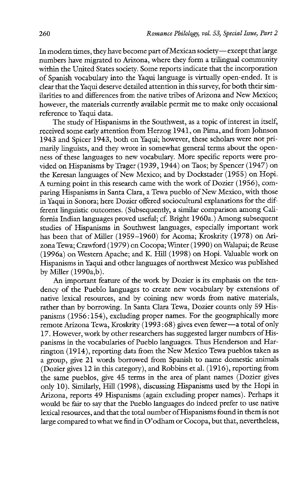In modern times, they have become part of Mexican society— except that large numbers have migrated to Arizona, where they form a trilingual community within the United States society. Some reports indicate that the incorporation of Spanish vocabulary into the Yaqui language is virtually open-ended. It is clear that the Yaqui deserve detailed attention in this survey, for both their similarities to and differences from the native tribes of Arizona and New Mexico; however, the materials currently available permit me to make only occasional reference to Yaqui data.

The study of Hispanisms in the Southwest, as a topic of interest in itself, received some early attention from Herzog 1941, on Pima, and from Johnson 1943 and Spicer 1943, both on Yaqui; however, these scholars were not primarily linguists, and they wrote in somewhat general terms about the openness of these languages to new vocabulary. More specific reports were provided on Hispanisms by Trager (1939, 1944) on Taos; by Spencer (1947) on the Keresan languages of New Mexico; and by Dockstader (1955) on Hopi. A turning point in this research came with the work of Dozier (1956), comparing Hispanisms in Santa Clara, a Tewa pueblo of New Mexico, with those in Yaqui in Sonora; here Dozier offered sociocultural explanations for the different linguistic outcomes. (Subsequently, a similar comparison among California Indian languages proved useful; cf. Bright 1960a.) Among subsequent studies of Hispanisms in Southwest languages, especially important work has been that of Miller (1959-1960) for Acoma; Kroskrity (1978) on Arizona Tewa; Crawford (1979) on Cocopa; Winter (1990) on Walapai; de Reuse (1996a) on Western Apache; and K. Hill (1998) on Hopi. Valuable work on Hispanisms in Yaqui and other languages of northwest Mexico was published by Miller (1990a,b).

An important feature of the work by Dozier is its emphasis on the tendency of the Pueblo languages to create new vocabulary by extensions of native lexical resources, and by coining new words from native materials, rather than by borrowing. In Santa Clara Tewa, Dozier counts only 59 Hispanisms (1956:154), excluding proper names. For the geographically more remote Arizona Tewa, Kroskrity (1993 :68) gives even fewer—a total of only 17. However, work by other researchers has suggested larger numbers of Hispanisms in the vocabularies of Pueblo languages. Thus Henderson and Harrington (1914), reporting data from the New Mexico Tewa pueblos taken as a group, give 21 words borrowed from Spanish to name domestic animals (Dozier gives 12 in this category), and Robbins et al. (1916), reporting from the same pueblos, give 45 terms in the area of plant names (Dozier gives only 10). Similarly, Hill (1998), discussing Hispanisms used by the Hopi in Arizona, reports 49 Hispanisms (again excluding proper names). Perhaps it would be fair to say that the Pueblo languages do indeed prefer to use native lexical resources, and that the total number of Hispanisms found in them is not large compared to what we find in O'odham or Cocopa, but that, nevertheless,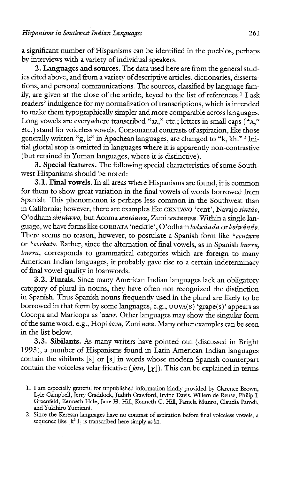a significant number of Hispanisms can be identified in the pueblos, perhaps by interviews with a variety of individual speakers.

2. Languages and sources. The data used here are from the general studies cited above, and from a variety of descriptive articles, dictionaries, dissertations, and personal communications. The sources, classified by language family, are given at the close of the article, keyed to the list of references.<sup>1</sup> I ask readers' indulgence for my normalization of transcriptions, which is intended to make them typographically simpler and more comparable across languages. Long vowels are everywhere transcribed "aa," etc.; letters in small caps ("A," etc.) stand for voiceless vowels. Consonantal contrasts of aspiration, like those generally written "g, k" in Apachean languages, are changed to "k, kh."? Initial glottal stop is omitted in languages where it is apparently non-contrastive (but retained in Yuman languages, where it is distinctive).

3. Special features. The following special characteristics of some Southwest Hispanisms should be noted:

3.1. Final vowels. In all areas where Hispanisms are found, it is common for them to show great variation in the final vowels of words borrowed from Spanish. This phenomenon is perhaps less common in the Southwest than in California; however, there are examples like CENTAVO 'cent', Navajo sintdo, O'odham sintáawo, but Acoma sentáawa, Zuni sentaawa. Within a single language, we have forms like CORBATA 'necktie', O'odham kolwáada or kolwáado. There seems no reason, however, to postulate a Spanish form like \*centava or *\*corbato*. Rather, since the alternation of final vowels, as in Spanish burro, burra, corresponds to grammatical categories which are foreign to many American Indian languages, it probably gave rise to a certain indeterminacy of final vowel quality in loanwords.

3.2. Plurals. Since many American Indian languages lack an obligatory category of plural in nouns, they have often not recognized the distinction in Spanish. Thus Spanish nouns frequently used in the plural are likely to be borrowed in that form by some languages, e.g.,  $UUVA(S)$  'grape(s)' appears as Cocopa and Maricopa as 'uuvs. Other languages may show the singular form of the same word, e.g., Hopi dova, Zuni wwa. Many other examples can be seen in the list below.

3.3. Sibilants. As many writers have pointed out (discussed in Bright 1993), a number of Hispanisms found in Latin American Indian languages contain the sibilants [\$] or [s] in words whose modern Spanish counterpart contain the voiceless velar fricative (jota,  $[\chi]$ ). This can be explained in terms

<sup>1.</sup> Iam especially grateful for unpublished information kindly provided by Clarence Brown, Lyle Campbell, Jerry Craddock, Judith Crawford, Irvine Davis, Willem de Reuse, Philip J. Greenfeld, Kenneth Hale, Jane H. Hill, Kenneth C. Hill, Pamela Munro, Claudia Parodi, and Yukihiro Yumitani.

<sup>2.</sup> Since the Keresan languages have no contrast of aspiration before final voiceless vowels, a sequence like  $[k^h]$  is transcribed here simply as ki.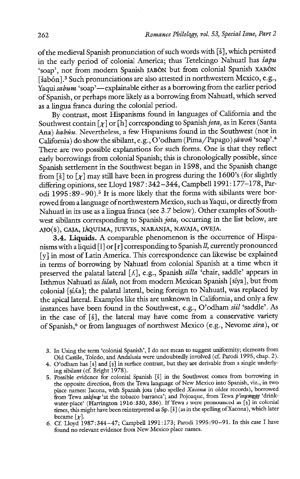of the medieval Spanish pronunciation of such words with [8], which persisted in the early period of colonial America; thus Tetelcingo Nahuatl has sapu 'soap', not from modern Spanish J4BON but from colonial Spanish XABON [šabón].<sup>3</sup> Such pronunciations are also attested in northwestern Mexico, e.g., Yaqui sabum 'soap'—explainable either as a borrowing from the earlier period of Spanish, or perhaps more likely as a borrowing from Nahuatl, which served as a lingua franca during the colonial period.

By contrast, most Hispanisms found in languages of California and the Southwest contain  $[\chi]$  or  $[\hat{h}]$  corresponding to Spanish jota, as in Keres (Santa Ana) habúu. Nevertheless, a few Hispanisms found in the Southwest (not in California) do show the sibilant, e.g., O'odham (Pima/Papago) sáwoñ 'soap'.<sup>4</sup> There are two possible explanations for such forms. One is that they reflect early borrowings from colonial Spanish; this is chronologically possible, since Spanish settlement in the Southwest began in 1598, and the Spanish change from [§] to  $\lceil \chi \rceil$  may still have been in progress during the 1600's (for slightly differing opinions, see Lloyd 1987 : 342-344, Campbell 1991:177-178, Parodi 1995:89-90).<sup>5</sup> It is more likely that the forms with sibilants were borrowed from a language of northwestern Mexico, such as Yaqui, or directly from Nahuatl in its use as a lingua franca (see 3.7 below). Other examples of Southwest sibilants corresponding to Spanish jota, occurring in the list below, are AJO(S), CAJA, JAQUIMA, JUEVES, NARANJA, NAVAJA, OVEJA.

3.4. Liquids. A comparable phenomenon is the occurrence of Hispanisms with a liquid  $[1]$  or  $[r]$  corresponding to Spanish  $\mathcal{U}$ , currently pronounced [y] in most of Latin America. This correspondence can likewise be explained in terms of borrowing by Nahuatl from colonial Spanish at a time when it preserved the palatal lateral  $[\Lambda]$ , e.g., Spanish silla 'chair, saddle' appears in Isthmus Nahuatl as *šilah*, not from modern Mexican Spanish [síya], but from colonial [siAa]; the palatal lateral, being foreign to Nahuatl, was replaced by the apical lateral. Examples like this are unknown in California, and only a few instances have been found in the Southwest, e.g., O'odham siil 'saddle'. As in the case of [8], the lateral may have come from a conservative variety of Spanish,\* or from languages of northwest Mexico (e.g., Nevome sira), or

<sup>3.</sup> In Using the term 'colonial Spanish', I do not mean to suggest uniformity; elements from Old Castile, Toledo, and Andalusia were undoubtedly involved (cf. Parodi 1995, chap. 2).

<sup>4.</sup> O'odham has [s] and [s] in surface contrast, but they are derivable from a single underlying sibilant (cf. Bright 1978).

<sup>5.</sup> Possible evidence for colonial Spanish [8] in the Southwest comes from borrowing in the opposite direction, from the Tewa language of New Mexico into Spanish, viz., in two place names: Jacona, with Spanish jota (also spelled Xacona in older records), borrowed from Tewa sakông 'at the tobacco barranca'; and Pojoaque, from Tewa p'osuwage 'drink water-place' (Harrington 1916:330, 336). If Tewa s were pronounced as [s] in colonial times, this might have been reinterpreted as Sp. [3] (as in the spelling of Xacona), which later became  $[\chi]$ .

<sup>6.</sup> Cf. Lloyd 1987:344-47; Campbell 1991:173; Parodi 1995:90-91. In this case I have found no relevant evidence from New Mexico place names.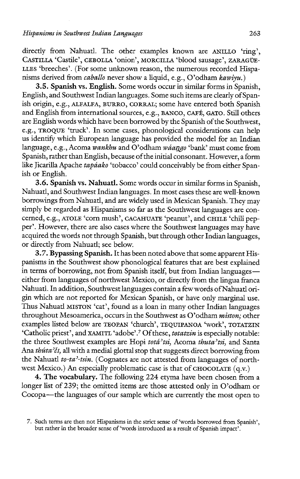directly from Nahuatl. The other examples known are ANILLO 'ring', CASTILLA 'Castile', CEBOLLA 'onion', MORCILLA 'blood sausage', ZARAGUE-LLES 'breeches'. (For some unknown reason, the numerous recorded Hispanisms derived from *caballo* never show a liquid, e.g., O'odham kawiyu.)

3.5. Spanish vs. English. Some words occur in similar forms in Spanish, English, and Southwest Indian languages. Some such items are clearly of Spanish origin, ¢.g., ALEALFA, BURRO, CORRAL; some have entered both Spanish and English from international sources, e.g., BANCO, CAFE, GATO. Still others are English words which have been borrowed by the Spanish of the Southwest, €.g., TROQUE 'truck'. In some cases, phonological considerations can help us identify which European language has provided the model for an Indian language, e.g., Acoma wankhu and O'odham wáango 'bank' must come from Spanish, rather than English, because of the initial consonant. However, a form like Jicarilla Apache tapáako 'tobacco' could conceivably be from either Spanish or English.

3.6. Spanish vs. Nahuatl. Some words occur in similar forms in Spanish, Nahuatl, and Southwest Indian languages. In most cases these are well-known borrowings from Nahuatl, and are widely used in Mexican Spanish. They may simply be regarded as Hispanisms so far as the Southwest languages are concerned, ¢.g., ATOLE 'corn mush', CACAHUATE 'peanut', and CHILE 'chili pepper'. However, there are also cases where the Southwest languages may have acquired the words not through Spanish, but through other Indian languages, or directly from Nahuatl; see below.

3.7. Bypassing Spanish. It has been noted above that some apparent Hispanisms in the Southwest show phonological features that are best explained in terms of borrowing, not from Spanish itself, but from Indian languages either from languages of northwest Mexico, or directly from the lingua franca Nahuatl. In addition, Southwest languages contain a few words of Nahuatl origin which are not reported for Mexican Spanish, or have only marginal use. Thus Nahuatl MISTON 'cat', found as a loan in many other Indian languages throughout Mesoamerica, occurs in the Southwest as O'odham miston; other examples listed below are TEOPAN 'church', TEQUIPANOA 'work', TOTATZIN 'Catholic priest', and XAMITL 'adobe'.<sup>7</sup> Of these, totatzin is especially notable: the three Southwest examples are Hopi totá'tsi, Acoma thuta'tsi, and Santa Ana thúta'či, all with a medial glottal stop that suggests direct borrowing from the Nahuatl to-ta'-tsin. (Cognates are not attested from languages of northwest Mexico.) An especially problematic case is that of CHOCOLATE (q.V.)

4. The vocabulary. The following 224 etyma have been chosen from a longer list of 239; the omitted items are those attested only in O'odham or Cocopa—the languages of our sample which are currently the most open to

<sup>7.</sup> Such terms are then not Hispanisms in the strict sense of 'words borrowed from Spanish', but rather in the broader sense of 'words introduced as a result of Spanish impact'.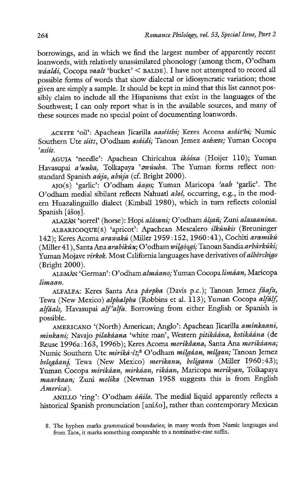borrowings, and in which we find the largest number of apparently recent loanwords, with relatively unassimilated phonology (among them, O'odham wáaldi, Cocopa vaalt 'bucket' < BALDE). I have not attempted to record all possible forms of words that show dialectal or idiosyncratic variation; those given are simply a sample. It should be kept in mind that this list cannot possibly claim to include all the Hispanisms that exist in the languages of the Southwest; I can only report what is in the available sources, and many of these sources made no special point of documenting loanwords.

ACEITE 'oil': Apachean Jicarilla aaséithi; Keres Acoma asdit'hi; Numic Southern Ute siitt, O'odham asáidi; Tanoan Jemez asáexte; Yuman Cocopa  $^{\circ}$ asitt.

AGUJA 'needle': Apachean Chiricahua ikééxa (Hoijer 110); Yuman Havasupai a'uuha, Tolkapaya 'awuuha. The Yuman forms reflect nonstandard Spanish  $a\acute{u}ja$ ,  $ab\acute{u}ja$  (cf. Bright 2000).

AJO(s) 'garlic': O'odham áasos; Yuman Maricopa 'aah 'garlic'. The O'odham medial sibilant reflects Nahuatl asos, occurring, e.g., in the modern Huazalinguillo dialect (Kimball 1980), which in turn reflects colonial Spanish [ášos].

ALAZAN 'sorrel' (horse): Hopi alésani; O'odham dlsan; Zuni alasaanina.

ALBARICOQUE(S) 'apricot': Apachean Mescalero ikéukis (Breuninger 142); Keres Acoma arawakú (Miller 1959:152, 1960:41), Cochiti aramikú (Miller 41), Santa Ana arabikúu; O'odham wilgóogi; Tanoan Sandia arbàrkúki; Yuman Mojave virkok. Most California languages have derivatives of albérchigo (Bright 2000).

ALEMÁN 'German': O'odham almáano; Yuman Cocopa limáan, Maricopa limaan.

ALFALFA: Keres Santa Ana párpha (Davis p.c.); Tanoan Jemez fâafa, Tewa (New Mexico) alphalpha (Robbins et al. 113); Yuman Cocopa alfalf, alfáals, Havasupai alf<sup>5</sup>alfa. Borrowing from either English or Spanish is possible.

AMERICANO '(North) American; Anglo': Apachean Jicarilla aminkaani, minkani; Navajo pilakáana 'white man', Western pitikáána, kotikáána (de Reuse 1996a:163, 1996b); Keres Acoma merikáana, Santa Ana merikáana; Numic Southern Ute miriká-č1;8 O'odham milgáan, mílgan; Tanoan Jemez belegâani, Tewa (New Mexico) merikanu, beliganu (Miller 1960:43); Yuman Cocopa mirikáan, mirkáan, rikáan, Maricopa merikyan, Tolkapaya maarkaan; Zuni melika (Newman 1958 suggests this is from English America).

ANILLO 'ring': O'odham áñilo. The medial liquid apparently reflects a historical Spanish pronunciation [aní Ao], rather than contemporary Mexican

<sup>8.</sup> The hyphen marks grammatical boundaries; in many words from Numic languages and from Taos, it marks something comparable to a nominative-case suffix.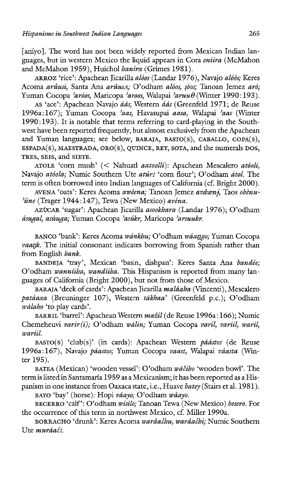[anivo]. The word has not been widely reported from Mexican Indian languages, but in western Mexico the liquid appears in Cora *eniira* (McMahon and McMahon 1959), Huichol haníra (Grimes 1981).

ARROZ 'rice': Apachean Jicarilla alóos (Landar 1976), Navajo alóós; Keres Acoma arûusi, Santa Ana arûusa; O'odham alóos, sóos; Tanoan Jemez aró; Yuman Cocopa 'aréos, Maricopa 'areos, Walapai 'aruu $\theta$  (Winter 1990:193).

AS 'ace': Apachean Navajo *áás*, Western *áás* (Greenfeld 1971; de Reuse 1996a:167); Yuman Cocopa 'aas, Havasupai aasa, Walapai 'aas (Winter 1990:193). It is notable that terms referring to card-playing in the Southwest have been reported frequently, but almost exclusively from the Apachean and Yuman languages; see below, BARAJA, BASTO(S), CABALLO, COPA(S), ESPADA(S), MAESTRADA, ORO(S), QUINCE, REY, SOTA, and the numerals Dos, TRES, SEIS, and SIETE.

ATOLE 'corn mush' (< Nahuatl aatoolli): Apachean Mescalero atóoli, Navajo atóola; Numic Southern Ute atúrt 'corn flour'; O'odham átol. The term is often borrowed into Indian languages of California (cf. Bright 2000).

AVENA 'Oats': Keres Acoma awêena; Tanoan Jemez avêxni, Taos obènu-'úne (Trager 1944:147), Tewa (New Mexico) avéna.

AZUCAR 'sugar': Apachean Jicarilla asookhara (Landar 1976); O'odham ásugal, asúuga; Yuman Cocopa 'asúkr, Maricopa 'arsuukr.

BANCO 'bank': Keres Acoma wánkhu; O'odham wáango; Yuman Cocopa vaank. The initial consonant indicates borrowing from Spanish rather than from English bank.

BANDEJA 'tray', Mexican 'basin, dishpan': Keres Santa Ana bandée; O'odham wanniiha, wandiiha. This Hispanism is reported from many languages of California (Bright 2000), but not from those of Mexico.

BARAJA 'deck of cards': Apachean Jicarilla maláaha (Vincenti), Mescalero patáaxa (Breuninger 107), Western tákhaa' (Greenfeld p.c.); O'odham wálaho 'to play cards'.

BARRIL 'barrel': Apachean Western mažíl (de Reuse 1996a: 166); Numic Chemeheuvi varir(i); O'odham wálin; Yuman Cocopa varíl, varíl, waríl, wariil.

BASTO(S) 'club(s)' (in cards): Apachean Western páástos (de Reuse 1996a:167), Navajo páastos; Yuman Cocopa vaast, Walapai váasta (Winter 195).

BATEA (Mexican) 'wooden vessel': O'odham wáčiho 'wooden bowl'. The term is listed in Santamaria 1959 asa Mexicanism; it has been reported asa Hispanism in one instance from Oaxaca state, i.e., Huave batey (Stairs et al. 1981).

BAYO 'bay' (horse): Hopi váayo; O'odham wáayo.

BECERRO 'calf': O'odham wisilo; Tanoan Tewa (New Mexico) besero. For the occurrence of this term in northwest Mexico, cf. Miller 1990a.

BORRACHO 'drunk': Keres Acoma warâachu, warâachi; Numic Southern Ute muráači.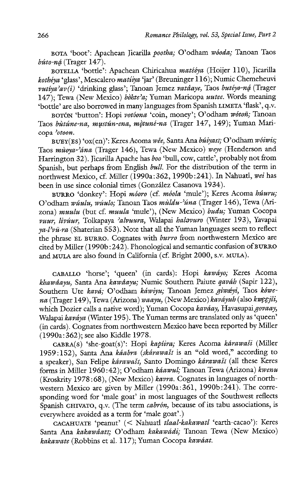BOTA 'boot': Apachean Jicarilla pootha; O'odham wóoda; Tanoan Taos  $b$ úto-ná (Trager 147).

BOTELLA 'bottle': Apachean Chiricahua matééya (Hoijer 110), Jicarilla hothéya 'glass', Mescalero matiiya 'jar' (Breuninger 116); Numic Chemeheuvi vutíva'av(i) 'drinking glass'; Tanoan Jemez vatáave, Taos butévo-ná (Trager  $147$ ); Tewa (New Mexico) *bòhte'a*; Yuman Maricopa *uutee*. Words meaning 'bottle' are also borrowed in many languages from Spanish LIMETA 'flask', q.v.

BOTÓN 'button': Hopi votóona 'coin, money'; O'odham wótoñ; Tanoan Taos bùtúne-na, mustún-ena, mòtuné-na (Trager 147, 149); Yuman Maricopa "otoon.

BUEY(ES) 'OX(en)': Keres Acoma wée, Santa Ana búiyasi; O' odham wóiwis; Taos mùoya-'ána (Trager 146), Tewa (New Mexico) weye (Henderson and Harrington 32). Jicarilla Apache has *boo* 'bull, cow, cattle', probably not from Spanish, but perhaps from English bull. For the distribution of the term in northwest Mexico, cf. Miller (1990a: 362, 1990b:241). In Nahuatl, wei has been in use since colonial times (González Casanova 1934).

BURRO 'donkey': Hopi móoro (cf. móola 'mule'); Keres Acoma húuru; O'odham wúulu, wúulo; Tanoan Taos mùldu-'úna (Trager 146), Tewa (Arizona) muulu (but cf. muula 'mule'), (New Mexico) budu; Yuman Cocopa vuur, livúur, Tolkapaya 'alvuura, Walapai halavuro (Winter 193), Yavapai  $ya\cdot l'v\bar{u}\cdot ra$  (Shaterian 553). Note that all the Yuman languages seem to reflect the phrase EL BURRO. Cognates with *burro* from northwestern Mexico are cited by Miller (1990b:242). Phonological and semantic confusion of BURRO and MULA are also found in California (cf. Bright 2000, s.v. MULA).

CABALLO 'horse'; 'queen' (in cards): Hopi kawdyo; Keres Acoma khawâayu, Santa Ana kawâayu; Numic Southern Paiute qaváh (Sapir 122), Southern Ute kavá; O'odham káwiyu; Tanoan Jemez giwaéyi, Taos kówena (Trager 149), Tewa (Arizona) waayu, (New Mexico) kaváyuh (also kwęgjii, which Dozier calls a native word); Yuman Cocopa kaváay, Havasupai govaay, Walapai kaváya (Winter 195). The Yuman terms are translated only as 'queen' (in cards). Cognates from northwestern Mexico have been reported by Miller (1990a: 362); see also Kiddle 1978.

CABRA(S) 'she-goat(s)': Hopi kapiira; Keres Acoma kérawasi (Miller 1959:152), Santa Ana káabra (skárawaší is an "old word," according to a speaker), San Felipe kárawaši, Santo Domingo kárawaši (all these Keres forms in Miller 1960:42); O'odham kéawul; Tanoan Tewa (Arizona) kwenu (Kroskrity 1978 :68), (New Mexico) kavra. Cognates in languages of northwestern Mexico are given by Miller (1990a:361, 1990b:241). The corresponding word for 'male goat' in most languages of the Southwest reflects Spanish CHIVATO, q.v. (The term cabrón, because of its tabu associations, is everywhere avoided as a term for 'male goat'.)

CACAHUATE 'peanut'? (< Nahuatl ¢laal-kakawatl 'earth-cacao'): Keres Santa Ana kakawaati; O'odham kakawadi; Tanoan Tewa (New Mexico) kakawate (Robbins et al. 117); Yuman Cocopa kawéat.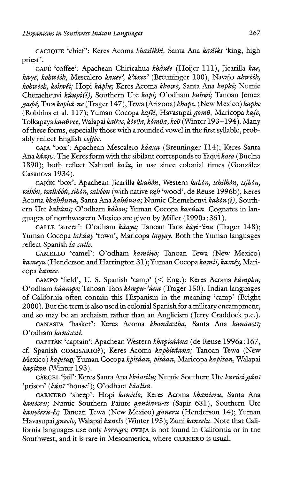CACIQUE 'chief': Keres Acoma khasîikhi, Santa Ana kasîikI 'king, high priest'.

caFf 'coffee': Apachean Chiricahua khaxée (Hoijer 111), Jicarilla kae, kayē, kohwééh, Mescalero kaxee', k'axee' (Breuninger 100), Navajo ahwééh, kolwéeh, kohwéi; Hopi kaphe; Keres Acoma khawé, Santa Ana kaphé; Numic Chemeheuvi kůupi(i), Southern Ute kapí; O'odham kahwí; Tanoan Jemez  $qab\acute{e}$ , Taos kophá-ne (Trager 147), Tewa (Arizona) khape, (New Mexico) kaphe (Robbins et al. 117); Yuman Cocopa kafii, Havasupai gom $\theta$ , Maricopa kafe, Tolkapaya kaa $\theta$ vee, Walapai ka $\theta$ ve, kov $\theta$ a, kom $\theta$ a, ko $\theta$  (Winter 193-194). Many of these forms, especially those with a rounded vowel in the first syllable, probably reflect English coffee.

CAJA 'box': Apachean Mescalero káaxa (Breuninger I14); Keres Santa Ana káasu. The Keres form with the sibilant corresponds to Yaqui kasa (Buelna 1890); both reflect Nahuatl kaša, in use since colonial times (González Casanova 1934).

CAJÓN 'box': Apachean Jicarilla khahón, Western kahón, tshilhón, tsihón,  $t$ sihón, tsalhóóń, sihón, sahóon (with native tsih 'wood', de Reuse 1996b); Keres Acoma khahûuna, Santa Ana kahúuna; Numic Chemeheuvi kahón (i), Southern Ute kahúni; O'odham káhon; Yuman Cocopa kaxúun. Cognates in languages of northwestern Mexico are given by Miller (1990a:361).

CALLE 'street': O'odham kaaya; Tanoan Taos kayi-'ina (Trager 148); Yuman Cocopa lakáay 'town', Maricopa lagyay. Both the Yuman languages reflect Spanish Ja calle.

CAMELLO 'camel': O'odham kamiiyo; Tanoan Tewa (New Mexico) kameyu (Henderson and Harrington 31); Yuman Cocopa kamii, kaméy, Maricopa kamee.

CAMPO 'field', U. S. Spanish 'camp' (< Eng.): Keres Acoma kámphu; O'odham kéampo; Tanoan Taos kémpu-'éna (Trager 150). Indian languages of California often contain this Hispanism in the meaning 'camp' (Bright 2000). But the term is also used in colonial Spanish for a military encampment, and so may be an archaism rather than an Anglicism (Jerry Craddock p.c.).

CANASTA 'basket': Keres Acoma khanâastha, Santa Ana kanâasti; O'odham kanáasti.

CAPITÁN 'captain': Apachean Western khapisáána (de Reuse 1996a:167, cf. Spanish COMISARIO?); Keres Acoma kaphitâana; Tanoan Tewa (New Mexico) kapitân; Yuman Cocopa kpitáan, pitáan, Maricopa kapitan, Walapai kapitan (Winter 193).

CÁRCEL 'jail': Keres Santa Ana kháasilu; Numic Southern Ute karúsi-gáni 'prison' (kánī 'house'); O'odham káalisa.

CARNERO 'sheep': Hopi kanéelo; Keres Acoma khanéeru, Santa Ana kanéeru; Numic Southern Paiute ganitaru-ts (Sapir 631), Southern Ute kanyéeru-či; Tanoan Tewa (New Mexico) ganeru (Henderson 14); Yuman Havasupai gneelo, Walapai kanelo (Winter 193); Zuni kaneelu. Note that California languages use only borrego; OVEJA is not found in California or in the Southwest, and it is rare in Mesoamerica, where CARNERO is usual.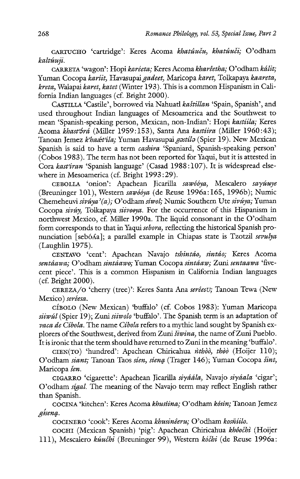CARTUCHO 'cartridge': Keres Acoma khatûuču, khatûuči; O'odham kaltúuji.

CARRETA 'wagon': Hopi karéeta; Keres Acoma kharéetha; O'odham kélit; Yuman Cocopa kariit, Havasupai gadeet, Maricopa karet, Tolkapaya kaareta, kreta, Walapai karet, katet (Winter 193). This is a common Hispanism in California Indian languages (cf. Bright 2000).

CASTILLA 'Castile', borrowed via Nahuatl kaštillan 'Spain, Spanish', and used throughout Indian languages of Mesoamerica and the Southwest to mean 'Spanish-speaking person, Mexican, non-Indian': Hopi kastiila; Keres Acoma khast<sup>2</sup>rá (Miller 1959:153), Santa Ana kastíira (Miller 1960:43); Tanoan Jemez khaattila; Yuman Havasupai *gostilo* (Spier 19). New Mexican Spanish is said to have a term *cashira* 'Spaniard, Spanish-speaking person' (Cobos 1983). The term has not been reported for Yaqui, but it is attested in Cora kast'iran 'Spanish language' (Casad 1988:107). It is widespread elsewhere in Mesoamerica (cf. Bright 1993:29).

CEBOLLA 'onion': Apachean Jicarilla sawóóya, Mescalero sayúuye (Breuninger 101), Western sawóóya (de Reuse 1996a:165, 1996b); Numic Chemeheuvi sivúya' (a); O'odham síwol; Numic Southern Ute sivúya; Yuman Cocopa sivúy, Tolkapaya siivooya. For the occurrence of this Hispanism in northwest Mexico, cf. Miller 1990a. The liquid consonant in the O'odham form corresponds to that in Yaqui sebora, reflecting the historical Spanish pronunciation [sebóAa]; a parallel example in Chiapas state is Tzotzil sevulya (Laughlin 1975).

CENTAVO 'cent': Apachean Navajo tshintáo, sintáo; Keres Acoma sentâawa; O'odham sintaawo; Yuman Cocopa sintaaw; Zuni sentaawa 'fivecent piece'. This is a common Hispanism in California Indian languages (cf. Bright 2000).

CEREZA/O 'cherry (tree)': Keres Santa Ana seréesu; Tanoan Tewa (New Mexico) seréesa.

cíbolo (New Mexican) 'buffalo' (cf. Cobos 1983): Yuman Maricopa siiwúl (Spier 19); Zuni siiwolo 'buffalo'. The Spanish term is an adaptation of vaca de Cíbola. The name Cíbola refers to a mythic land sought by Spanish explorers of the Southwest, derived from Zuni siwina, the name of Zuni Pueblo. Itis ironic that the term should have returned to Zuni in the meaning 'buffalo'.

CIEN(TO) 'hundred': Apachean Chiricahua *nthoo, thoo (Hoijer 110)*; O'odham siant; Tanoan Taos sien, siena (Trager 146); Yuman Cocopa šint, Maricopa šen.

CIGARRO 'cigarette': Apachean Jicarilla siyáála, Navajo siyáala 'cigar'; O'odham sigal. The meaning of the Navajo term may reflect English rather than Spanish.

COCINA 'kitchen': Keres Acoma khustina; O'odham kósin; Tanoan Jemez Giseng.

COCINERO 'cook': Keres Acoma khusinéeru; O'odham kosñiilo.

COCHI (Mexican Spanish) 'pig': Apachean Chiricahua khôočhì (Hoijer 111), Mescalero kúučhi (Breuninger 99), Western kóčhi (de Reuse 1996a: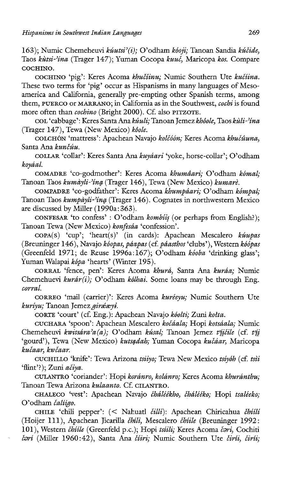163); Numic Chemeheuvi kúutsi'(i); O'odham kóoji; Tanoan Sandia kúčide, Taos kùtsi-'ina (Trager 147); Yuman Cocopa kuuč, Maricopa kos. Compare COCHINO.

COCHINO 'pig': Keres Acoma khučîinu; Numic Southern Ute kučiina. These two terms for 'pig' occur as Hispanisms in many languages of Mesoamerica and California, generally pre-empting other Spanish terms, among them, PUERCO or MARRANO; in California as in the Southwest, cochi is found more often than cochino (Bright 2000). Cf. also PITZOTE.

COL 'cabbage': Keres Santa Ana ku'uli; Tanoan Jemez khôole, Taos kuli-'ina (Trager 147), Tewa (New Mexico) kôole.

COLCHÓN 'mattress': Apachean Navajo kolčóón; Keres Acoma khučûuna, Santa Ana kunčúu.

COLLAR 'collar': Keres Santa Ana kuyéari 'yoke, horse-collar'; O'odham koyaal.

COMADRE 'co-godmother': Keres Acoma khuméari; O'odham kémal; Tanoan Taos kumàyli-'ing (Trager 146), Tewa (New Mexico) kumarè.

COMPADRE 'co-godfather': Keres Acoma khumpéari; O'odham kémpal; Tanoan Taos kumpàyli-'ing (Trager 146). Cognates in northwestern Mexico are discussed by Miller (1990a: 363).

CONFESAR 'to confess' : O'odham kombiis (or perhaps from English?); Tanoan Tewa (New Mexico) konfesda 'confession'.

copa(s) 'cup'; 'heart(s)' (in cards): Apachean Mescalero kuupas (Breuninger 146), Navajo kéopas, páapas (cf. páasthos 'clubs'), Western kóópas (Greenfeld 1971; de Reuse 1996a:167); O'odham kéoba 'drinking glass'; Yuman Walapai képa 'hearts' (Winter 195).

CORRAL 'fence, pen': Keres Acoma khurá, Santa Ana kuráa; Numic Chemehuevi kurár(i); O'odham kólhai. Some loans may be through Eng. corral,

CORREO 'mail (carrier)': Keres Acoma kuréeyu; Numic Southern Ute kuriyu; Tanoan Jemez giráxyi.

CORTE 'court' (cf. Eng.): Apachean Navajo kéolti; Zuni kotta.

CUCHARA 'spoon': Apachean Mescalero kočáala; Hopi kotsáala; Numic Chemeheuvi kwitsára'a(a); O'odham kúsal; Tanoan Jemez t'ijčile (cf. t'ij 'gourd'), Tewa (New Mexico) kutsadah; Yuman Cocopa kučáar, Maricopa kucaar, kwéaar.

CUCHILLO 'knife': Tewa Arizona tsiiyo; Tewa New Mexico tsiyóh (cf. tsii 'flint'!); Zuni ačiya.

CULANTRO 'coriander': Hopi koránro, kolánro; Keres Acoma khuránthu; Tanoan Tewa Arizona kulaanto. Cf. CILANTRO.

CHALECO 'vest': Apachean Navajo čháléékho, čhálééko; Hopi tsaléeko; O'odham čaliigo.

CHILE 'chili pepper': (< Nahuatl čilli): Apachean Chiricahua čhiili (Hoijer 111), Apachean Jicarilla *čhili*, Mescalero *čhiile* (Breuninger 1992: 101), Western chiile (Greenfeld p.c.); Hopi tsiili; Keres Acoma cari, Cochiti čəri (Miller 1960:42), Santa Ana čiiri; Numic Southern Ute čirii, čirii;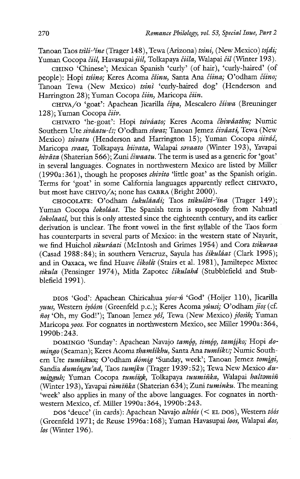Tanoan Taos tsili-'ine (Trager 148), Tewa (Arizona) tsini, (New Mexico) tsidi; Yuman Cocopa čiil, Havasupai jiil, Tolkapaya čiila, Walapai čil (Winter 193).

CHINO 'Chinese'; Mexican Spanish 'curly' (of hair), 'curly-haired' (of people): Hopi tsíino; Keres Acoma číinu, Santa Ana číina; O'odham číino; Tanoan Tewa (New Mexico) tsinì 'curly-haired dog' (Henderson and Harrington 28); Yuman Cocopa čiin, Maricopa čiin.

CHIVA/O 'goat': Apachean Jicarilla čípa, Mescalero číiwa (Breuninger 128); Yuman Cocopa čiiv.

CHIVATO 'he-goat': Hopi tsiváato; Keres Acoma čhiwâathu; Numic Southern Ute siváatu-čī; O'odham síwat; Tanoan Jemez čivâati, Tewa (New Mexico) tsivatu (Henderson and Harrington 15); Yuman Cocopa siiváč, Maricopa svaat, Tolkapaya biivata, Walapai sovaato (Winter 193), Yavapai hivāta (Shaterian 566); Zuni čiwaatu. The term is used as a generic for 'goat' in several languages. Cognates in northwestern Mexico are listed by Miller (1990a:361), though he proposes chivito 'little goat' as the Spanish origin. Terms for 'goat' in some California languages apparently reflect CHIVATO, but most have CHIVO/A; none has CABRA (Bright 2000).

CHOCOLATE: O'odham čukuláadi; Taos tsikulòti-'ína (Trager 149); Yuman Cocopa ćokoláat. The Spanish term is supposedly from Nahuatl cokolaatl, but this is only attested since the eighteenth century, and its earlier derivation is unclear. The front vowel in the first syllable of the Taos form has counterparts in several parts of Mexico: in the western state of Nayarit, we find Huichol sikuráati (McIntosh and Grimes 1954) and Cora tsikuraa (Casad 1988:84); in southern Veracruz, Sayula has čikuláat (Clark 1995); and in Oaxaca, we find Huave čikolit (Stairs et al. 1981), Jamiltepec Mixtec sikula (Pensinger 1974), Mitla Zapotec čikulahd (Stubblefield and Stubblefield 1991).

DIOS 'God': Apachean Chiricahua yéos-% 'God' (Hoijer 110), Jicarilla yuus, Western iyóósn (Greenfeld p.c.); Keres Acoma yúusi; O'odham jios (cf. fios 'Oh, my God!'); Tanoan Jemez yés, Tewa (New Mexico) jéosth; Yuman Maricopa yoos. For cognates in northwestern Mexico, see Miller 1990a:364, 1990b:243.

DOMINGO 'Sunday': Apachean Navajo tamóg, timóg, tamíjko; Hopi domingo (Seaman); Keres Acoma thamiikhu, Santa Ana tumiiku; Numic Southern Ute tumiikux; O'odham dómig 'Sunday, week'; Tanoan Jemez tomìgi, Sandia dumíngu'ad, Taos tumíku (Trager 1939:52); Tewa New Mexico duminguh; Yuman Cocopa tumíink, Tolkapaya tuumiñka, Walapai haltamiñ (Winter 193), Yavapai tuminka (Shaterian 634); Zuni tuminku. The meaning 'week' also applies in many of the above languages. For cognates in northwestern Mexico, cf. Miller 1990a:364, 1990b:243.

pos 'deuce' (in cards): Apachean Navajo altóós (< EL DOS), Western tóós (Greenfeld 1971; de Reuse 1996a:168); Yuman Havasupai loos, Walapai dos, los (Winter 196).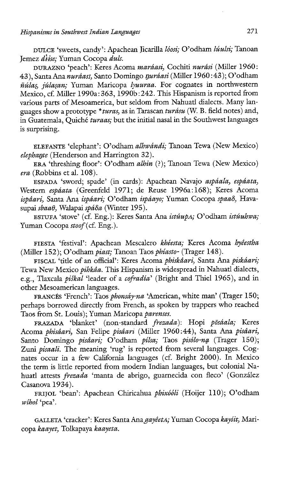DULCE 'sweets, candy': Apachean Jicarilla lóosi; O'odham lúulsi; Tanoan Jemez diise: Yuman Cocopa duls.

DURAZNO 'peach': Keres Acoma maráasi, Cochiti nurási (Miller 1960: 43), Santa Ana nurdasi, Santo Domingo nurdasi (Miller 1960:43); O'odham  $ñúlas, júlasan; Yuman, Maricopa *lwurraa*. For cognates in northwestern$ Mexico, cf. Miller 1990a: 363, 1990b:242. This Hispanism is reported from various parts of Mesoamerica, but seldom from Nahuatl dialects. Many languages show a prototype \*turas, as in Tarascan turasu (W. B. field notes) and, in Guatemala, Quiché twraas; but the initial nasal in the Southwest languages is surprising.

ELEFANTE 'elephant': O'odham alhwandi; Tanoan Tewa (New Mexico) elephante (Henderson and Harrington 32).

ERA 'threshing, floor': O'odham alhin (?); Tanoan Tewa (New Mexico) era (Robbins et al. 108).

ESPADA 'sword; spade' (in cards): Apachean Navajo aspdala, espdata, Western espáata (Greenfeld 1971; de Reuse 1996a:168); Keres Acoma ispâari, Santa Ana ispáari; O'odham ispáayo; Yuman Cocopa spaaô, Havasupai sbaaθ, Walapai spáδa (Winter 195).

ESTUFA 'stove' (cf. Eng.): Keres Santa Ana istuupa; O'odham istuubwa; Yuman Cocopa stoof (cf. Eng.).

FIESTA 'festival': Apachean Mescalero khéesta; Keres Acoma hyéestha (Miller 152); O'odham piast; Tanoan Taos phiasto- (Trager 148).

FISCAL 'title of an official': Keres Acoma phiskéari, Santa Ana piskéari; Tewa New Mexico *pihkâa*. This Hispanism is widespread in Nahuatl dialects, e.g., Tlaxcala piškal 'leader of a cofradía' (Bright and Thiel 1965), and in other Mesoamerican languages.

FRANCÉS 'French': Taos phonsáy-na 'American, white man' (Trager 150; perhaps borrowed directly from French, as spoken by trappers who reached Taos from St. Louis); Yuman Maricopa parenses.

FRAZADA 'blanket' (non-standard frezada): Hopi pösáala; Keres Acoma phiséari, San Felipe piséari (Miller 1960:44), Santa Ana pisdari, Santo Domingo pisáari; O'odham pílsa; Taos pisólo-na (Trager 150); Zuni *pisaali*. The meaning 'rug' is reported from several languages. Cognates occur in a few California languages (cf. Bright 2000). In Mexico the term is little reported from modern Indian languages, but colonial Nahuatl attests frezada 'manta de abrigo, guarnecida con fleco' (González Casanova 1934).

FRIJOL 'bean': Apachean Chiricahua phixóóli (Hoijer 110); O'odham wihol 'pea'.

GALLETA 'cracker': Keres Santa Ana gayéetA; Yuman Cocopa kayíit, Maricopa kaayet, Tolkapaya kaayeta.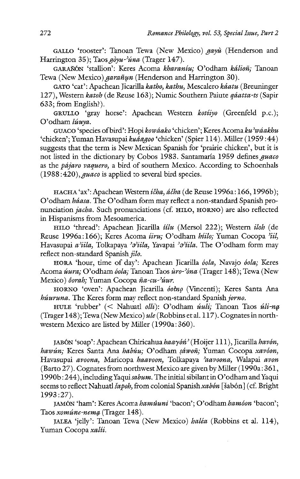GALLO 'rooster': Tanoan Tewa (New Mexico) gayù (Henderson and Harrington 35); Taos  $q\partial yu - \partial yu$  (Trager 147).

GARAÑÓN 'stallion': Keres Acoma kharaníu; O'odham kálioñ; Tanoan Tewa (New Mexico) *garañun* (Henderson and Harrington 30).

GATO 'cat': Apachean Jicarilla katho, kathu, Mescalero kéatu (Breuninger 127), Western katoh (de Reuse 163); Numic Southern Paiute géatta-ts (Sapir 633; from English?).

GRULLO 'gray horse': Apachean Western koriiyo (Greenfeld p.c.); O'odham lúuya.

GUACO 'species of bird': Hopi kowáako 'chicken'; Keres Acoma ku'waakhu 'chicken'; Yuman Havasupai kuaagoo 'chicken' (Spier 114). Miller (1959:44) suggests that the term is New Mexican Spanish for 'prairie chicken', but it is not listed in the dictionary by Cobos 1983. Santamaria 1959 defines guaco as the *pájaro vaquero*, a bird of southern Mexico. According to Schoenhals  $(1988.420)$ , *guaco* is applied to several bird species.

HACHA 'ax': Apachean Western icha, acha (de Reuse 1996a: 166, 1996b); O'odham háasa. The O'odham form may reflect a non-standard Spanish pronunciation jacha. Such pronunciations (cf. HILO, HORNO) are also reflected in Hispanisms from Mesoamerica.

HILO 'thread': Apachean Jicarilla iilu (Mersol 222); Western iloh (de Reuse 1996a:166); Keres Acoma iiru; O'odham hiilo; Yuman Cocopa 'iil, Havasupai *a'iila*, Tolkapaya '*a'iila*, Yavapai '*a'iila*. The O'odham form may reflect non-standard Spanish jilo.

HORA 'hour, time of day': Apachean Jicarilla óola, Navajo óola; Keres Acoma úura; O'odham óola; Tanoan Taos ùro-'óna (Trager 148); Tewa (New Mexico) ôorah; Yuman Cocopa ña-cu-'úur.

HORNO 'oven': Apachean Jicarilla óotno (Vincenti); Keres Santa Ana húuruna. The Keres form may reflect non-standard Spanish jorno.

HULE 'rubber' (< Nahuatl olli): O'odham úuli; Tanoan Taos úli-na (Trager 148); Tewa (New Mexico) ule (Robbins et al. 117). Cognates in northwestern Mexico are listed by Miller (1990a: 360).

JABÓN 'soap': Apachean Chiricahua haayón' (Hoijer 111), Jicarilla havón, hawún; Keres Santa Ana habúu; O'odham sáwoñ; Yuman Cocopa xavóon, Havasupai avoona, Maricopa haavoon, Tolkapaya 'aavoona, Walapai avon (Barto 27). Cognates from northwest Mexico are given by Miller (1990a: 361, 1990b : 244), including Yaqui sabum. The initial sibilant in O'odham and Yaqui seems to reflect Nahuatl Sapoh, from colonial Spanish xabón [Sabón] (cf. Bright 1993 :27).

JAMÓN 'ham': Keres Acoma hamûuni 'bacon'; O'odham hamóon 'bacon'; Taos xomúne-nema (Trager 148).

JALEA 'jelly': Tanoan Tewa (New Mexico) haléa (Robbins et al. 114), Yuman Cocopa xalii.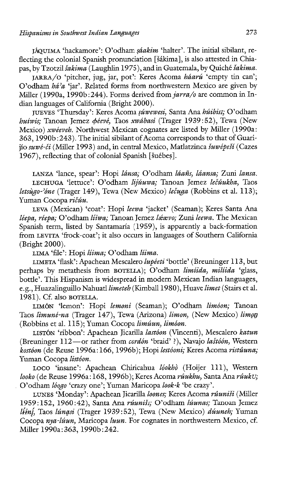J4QUIMA 'hackamore': O'odham séakim 'halter'. The initial sibilant, reflecting the colonial Spanish pronunciation [šákima], is also attested in Chiapas, by Tzotzil šakima (Laughlin 1975), and in Guatemala, by Quiché šakima.

JARRA/O 'pitcher, jug, jar, pot': Keres Acoma baéarué 'empty tin can'; O'odham hé'a 'jar'. Related forms from northwestern Mexico are given by Miller (1990a, 1990b:244). Forms derived from  $iarra/o$  are common in Indian languages of California (Bright 2000).

JUEVES 'Thursday': Keres Acoma súwewesi, Santa Ana húibist; O'odham huiwis; Tanoan Jemez déevé, Taos xwabasi (Trager 1939:52), Tewa (New Mexico) xwéeveb. Northwest Mexican cognates are listed by Miller (1990a: 363, 1990b:243). The initial sibilant of Acoma corresponds to that of Guariijo suwé-či (Miller 1993) and, in central Mexico, Matlatzinca šuwépeší (Cazes 1967), reflecting that of colonial Spanish [šuébes].

LANZA 'lance, spear': Hopi lánsa; O'odham láañs, láansa; Zuni lansa. LECHUGA 'lettuce': O'odham lijúuwa; Tanoan Jemez lečúukha, Taos letsùgo-'óne (Trager 149), Tewa (New Mexico) lečuga (Robbins et al. 113); Yuman Cocopa ricuu.

LEVA (Mexican) 'coat': Hopi leewa 'jacket' (Seaman); Keres Santa Ana léepa, réepa; O'odham liiwa; Tanoan Jemez léevo; Zuni leewa. The Mexican Spanish term, listed by Santamaria (1959), is apparently a back-formation from LEVITA 'frock-coat'; it also occurs in languages of Southern California (Bright 2000).

LIMA 'file': Hopi liima; O'odham liima.

LIMETA 'flask': Apachean Mescalero lupéeti 'bottle' (Breuninger 113, but perhaps by metathesis from BOTELLA); O'odham limiida, miliida 'glass, bottle'. This Hispanism is widespread in modern Mexican Indian languages, e.g., Huazalinguillo Nahuatl limeteh (Kimball 1980), Huave limet (Stairs et al. 1981). Cf. also BOTELLA.

LIMÓN 'lemon': Hopi lemoni (Seaman); O'odham limóon; Tanoan Taos limuné-na (Trager 147), Tewa (Arizona) limon, (New Mexico) limon (Robbins et al. 115); Yuman Cocopa limuun, limoon.

LISTÓN 'ribbon': Apachean Jicarilla lastóon (Vincenti), Mescalero katun (Breuninger 112—or rather from cordén 'braid' ?), Navajo lastéén, Western kostóon (de Reuse 1996a: 166, 1996b); Hopi lestóoni; Keres Acoma ristúuna; Yuman Cocopa listóon.

LOCO 'insane': Apachean Chiricahua lóokhò (Hoijer 111), Western looko (de Reuse 1996a: 168, 1996b); Keres Acoma rûukhu, Santa Ana rûuku; . O'odham léago 'crazy one'; Yuman Maricopa look-k 'be crazy'.

LUNES 'Monday': Apachean Jicarilla loones; Keres Acoma rûuniši (Miller 1959:152, 1960:42), Santa Ana rúuniši; O'odham lúunas; Tanoan Jemez liini, Taos lúngsi (Trager 1939:52), Tewa (New Mexico) dúuneh; Yuman Cocopa nya-lúun, Maricopa luun. For cognates in northwestern Mexico, cf. Miller 1990a:363, 1990b:242.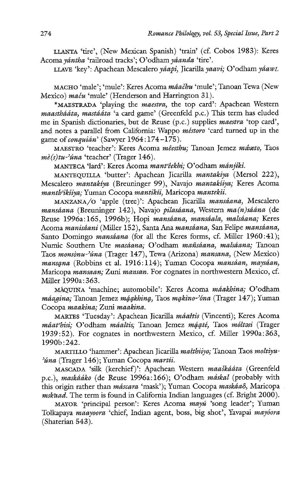LLANTA 'tire', (New Mexican Spanish) 'train' (cf. Cobos 1983): Keres Acoma yantha 'railroad tracks'; O'odham yéanda 'tire'.

LLAVE 'key': Apachean Mescalero yáapi, Jicarilla yaavi; O'odham yáawi.

MACHO 'male'; 'mule': Keres Acoma mâačhu 'mule'; Tanoan Tewa (New Mexico) maču 'mule' (Henderson and Harrington 31).

\*MAESTRADA 'playing the maestra, the top card': Apachean Western maasthááta, mastááta 'a card game' (Greenfeld p.c.) This term has eluded me in Spanish dictionaries, but de Reuse (p.c.) supplies maestra 'top card', and notes a parallel from California: Wappo méstoro 'card turned up in the game of *conquián'* (Sawyer 1964:174-175).

MAESTRO 'teacher': Keres Acoma méesthu; Tanoan Jemez mézto, Taos  $m\dot{\epsilon}(s)tu^{-\gamma}$ úna 'teacher' (Trager 146).

MANTECA 'lard': Keres Acoma mant'êekhi; O'odham mánjiki.

MANTEQUILLA 'butter': Apachean Jicarilla mantakiya (Mersol 222), Mescalero mantakiya (Breuninger 99), Navajo mantakiiya; Keres Acoma manth'ikîiya; Yuman Cocopa mantikii, Maricopa mantekii.

MANZANA/O 'apple (tree)': Apachean Jicarilla mansáana, Mescalero mansáana (Breuninger 142), Navajo pilasáana, Western ma $(n)$ sáána (de Reuse 1996a:165, 1996b); Hopi mansáana, mansáala, malsáana; Keres Acoma manisâani (Miller 152), Santa Ana mansáana, San Felipe mansáana, Santo Domingo *mansáana* (for all the Keres forms, cf. Miller 1960:41); Numic Southern Ute masáana; O'odham mañsáana, malsáana; Tanoan Taos monsònu-'úna (Trager 147), Tewa (Arizona) mansana, (New Mexico) mansana (Robbins et al. 1916:114); Yuman Cocopa mansáan, maysáan, Maricopa mansaan; Zuni mansan. For cognates in northwestern Mexico, cf. Miller 1990a: 363.

MÁQUINA 'machine; automobile': Keres Acoma máakhina; O'odham máagina; Tanoan Jemez máakhina, Taos makino-'óna (Trager 147); Yuman Cocopa maakina; Zuni maakina.

MARTES 'Tuesday': Apachean Jicarilla máałtis (Vincenti); Keres Acoma máat<sup>hisi</sup>; O'odham máaltis; Tanoan Jemez máaté, Taos móltasi (Trager 1939:52). For cognates in northwestern Mexico, cf. Miller 1990a:363, 1990b:242.

MARTILLO 'hammer': Apachean Jicarilla matthiiyo; Tanoan Taos moltiyu- $'$ úna (Trager 146); Yuman Cocopa martíi.

MASCADA 'silk (kerchief)': Apachean Western maaskaéta (Greenfeld p.c.), maskááko (de Reuse 1996a:166); O'odham máskal (probably with this origin rather than máscara 'mask'); Yuman Cocopa maskáaδ, Maricopa mskaad. The term is found in California Indian languages (cf. Bright 2000).

MAYOR 'principal person': Keres Acoma mayú 'song leader'; Yuman Tolkapaya maayoora 'chief, Indian agent, boss, big shot', Yavapai mayóora (Shaterian 543).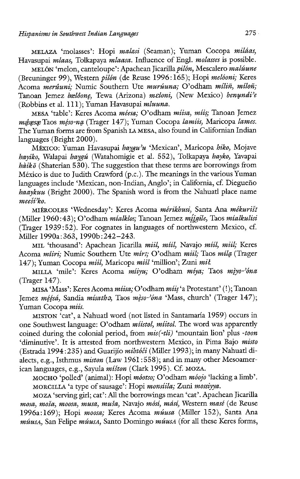MELAZA 'molasses': Hopi malasi (Seaman); Yuman Cocopa miléas, Havasupai mlaas, Tolkapaya mlaasa. Influence of Engl. molasses is possible.

MELÓN 'melon, canteloupe': Apachean Jicarilla *pilón*, Mescalero malúune (Breuninger 99), Western pilén (de Reuse 1996:165); Hopi meléoni; Keres Acoma *merûuni*: Numic Southern Ute *murúuna*; O'odham míliñ, míloñ; Tanoan Jemez bælôone, Tewa (Arizona) meloni, (New Mexico) benundi'e (Robbins et al. 111); Yuman Havasupai mluuna.

MESA 'table': Keres Acoma méesa; O'odham miisa, miis; Tanoan Jemez méesse Taos méso-na (Trager 147); Yuman Cocopa lamiis, Maricopa lames. The Yuman forms are from Spanish LA MESA, also found in Californian Indian languages (Bright 2000).

México: Yuman Havasupai haygu'u 'Mexican', Maricopa hiko, Mojave hayiko, Walapai haygú (Watahomigie et al. 552), Tolkapaya hayko, Yavapai  $h\ddot{a}ik\ddot{o}$  (Shaterian 530). The suggestion that these terms are borrowings from México is due to Judith Crawford (p.c.). The meanings in the various Yuman languages include 'Mexican, non-Indian, Anglo'; in California, cf. Dieguefio haaykuu (Bright 2000). The Spanish word is from the Nahuatl place name meeší<sup>2</sup>ko.

MIERCOLES 'Wednesday': Keres Acoma mérikhusi, Santa Ana mékurist (Miller 1960:43); O'odham míalklos; Tanoan Jemez míigile, Taos míalkulisi (Trager 1939:52). For cognates in languages of northwestern Mexico, cf. Miller 1990a:363, 1990b: 242-243.

MIL 'thousand': Apachean Jicarilla miil, miil, Navajo miil, miil; Keres Acoma miiri; Numic Southern Ute mírI; O'odham miil; Taos míla (Trager 147); Yuman Cocopa miil, Maricopa miil 'million'; Zuni mił.

MILLA 'mile': Keres Acoma míiyu; O'odham míya; Taos mìyo-'óna (Trager 147).

MISA 'Mass': Keres Acoma miisa; O'odham miis 'a Protestant' (!); Tanoan Jemez méésá, Sandia mísatha, Taos mèso-'óna 'Mass, church' (Trager 147); Yuman Cocopa miis.

MISTON 'cat', a Nahuatl word (not listed in Santamaria 1959) occurs in one Southwest language: O'odham miistol, miitol. The word was apparently coined during the colonial period, from mis(-tli) 'mountain lion' plus -toon 'diminutive'. It is attested from northwestern Mexico, in Pima Bajo misto (Estrada 1994:235) and Guarijio mihtóči (Miller 1993); in many Nahuatl dialects, e.g., Isthmus miston (Law 1961:558); and in many other Mesoamerican languages, e.g., Sayula míšton (Clark 1995). Cf. MOZA.

MOCHO 'polled' (animal): Hopi méotso; O'odham méojo 'lacking a limb'. MORCILLA 'a type of sausage': Hopi monsiila; Zuni mossiyya.

MOZA 'serving girl; cat': All the borrowings mean 'cat'. Apachean Jicarilla mosa, moša, moosa, musa, muša, Navajo mósí, másí, Western masé (de Reuse 1996a:169); Hopi moosa; Keres Acoma múusa (Miller 152), Santa Ana múusa, San Felipe múusa, Santo Domingo múusa (for all these Keres forms,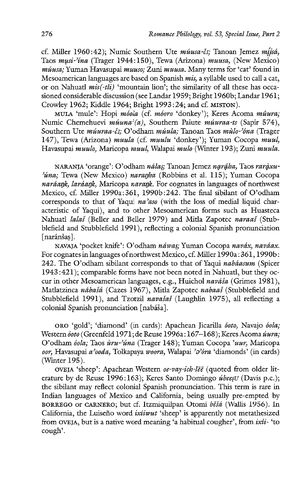cf. Miller 1960:42); Numic Southern Ute  $m\acute{u}usa-\acute{c}i$ ; Tanoan Jemez  $m\acute{i}sin\acute{a}$ , Taos mysi-?ina (Trager 1944:150), Tewa (Arizona) muusa, (New Mexico) múusa; Yuman Havasupai muuso; Zuni muusa. Many terms for 'cat' found in Mesoamerican languages are based on Spanish mis, a syllable used to call a cat, or on Nahuatl  $mis(-t\ddot{t})$  'mountain lion'; the similarity of all these has occasioned considerable discussion (see Landar 1959; Bright 1960b; Landar 1961; Crowley 1962; Kiddle 1964; Bright 1993 :24; and cf. MISTON).

MULA 'mule': Hopi móola (cf. móoro 'donkey'); Keres Acoma mûura; Numic Chemehuevi  $m\acute{u}$ una'(a), Southern Paiute muuraa-ts (Sapir 574), Southern Ute múuraa-č1; O'odham múula; Tanoan Taos mùlo-'óna (Trager 147), Tewa (Arizona) muula (cf. muulu 'donkey'); Yuman Cocopa muul, Havasupai muulo, Maricopa muul, Walapai mulo (Winter 193); Zuni muula.

NARANJA 'orange': O'odham nálas; Tanoan Jemez naráha, Taos raràxu-'úna; Tewa (New Mexico) naranha (Robbins et al. 115); Yuman Cocopa naráank, laráank, Maricopa narank. For cognates in languages of northwest Mexico, cf. Miller 1990a:361, 1990b:242. The final sibilant of O'odham corresponds to that of Yaqui  $na'aso$  (with the loss of medial liquid characteristic of Yaqui), and to other Mesoamerican forms such as Huasteca Nahuatl *lalaš* (Beller and Beller 1979) and Mitla Zapotec naraaš (Stubblefield and Stubblefield 1991), reflecting a colonial Spanish pronunciation [naránšas].

NAVAJA 'pocket knife': O'odham náwas; Yuman Cocopa naváx, naváax. For cognates in languages of northwest Mexico, cf. Miller 1990a: 361, 1990b: 242. The O'odham sibilant corresponds to that of Yaqui nabáasum (Spicer 1943 :421); comparable forms have not been noted in Nahuatl, but they occur in other Mesoamerican languages, e.g., Huichol naváša (Grimes 1981), Matlatzinca nábašá (Cazes 1967), Mitla Zapotec nabaaš (Stubblefield and Stubblefield 1991), and Tzotzil navašaš (Laughlin 1975), all reflecting a colonial Spanish pronunciation [nabáša].

oro 'gold'; 'diamond' (in cards): Apachean Jicarilla óoto, Navajo óola; Western óoto (Greenfeld 1971; de Reuse 1996a: 167-168); Keres Acoma úura; O'odham óola; Taos ùru-'úna (Trager 148); Yuman Cocopa 'uur, Maricopa oor, Havasupai a'ooda, Tolkapaya woora, Walapai 'a'óra 'diamonds' (in cards) (Winter 195).

OVEJA 'sheep': Apachean Western oe-vay-ich-lēe (quoted from older literature by de Reuse 1996:163); Keres Santo Domingo *úbeesu* (Davis p.c.); the sibilant may reflect colonial Spanish pronunciation. This term is rare in Indian languages of Mexico and California, being usually pre-empted by BORREGO or CARNERO; but cf. Itzmiquilpan Otomí béšá (Wallis 1956). In California, the Luiseño word ixiiwut 'sheep' is apparently not metathesized from OVEJA, but is a native word meaning 'a habitual cougher', from  $ixii$ - 'to cough'.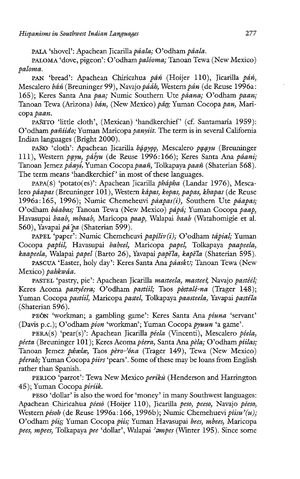PALA 'shovel': Apachean Jicarilla páala; O'odham páala.

PALOMA 'dove, pigeon': O'odham paléoma; Tanoan Tewa (New Mexico) paloma.

PAN 'bread': Apachean Chiricahua páń (Hoijer 110), Jicarilla páń, Mescalero báń (Breuninger 99), Navajo pááh, Western pán (de Reuse 1996a: 165); Keres Santa Ana paa; Numic Southern Ute paana; O'odham paan; Tanoan Tewa (Arizona) bán, (New Mexico) pân; Yuman Cocopa pan, Maricopa paan.

PAÑITO 'little cloth', (Mexican) 'handkerchief' (cf. Santamaría 1959): O'odham pañiido; Yuman Maricopa panyiit. The term is in several California Indian languages (Bright 2000).

PAÑO 'cloth': Apachean Jicarilla báayoo, Mescalero paayu (Breuninger 111), Western payu, páíyu (de Reuse 1996:166); Keres Santa Ana páani; Tanoan Jemez págyí, Yuman Cocopa pagñ, Tolkapaya pagñ (Shaterian 568). The term means 'handkerchief' in most of these languages.

PAPA(S) 'potato(es)': Apachean Jicarilla phápha (Landar 1976), Mescalero páapas (Breuninger 101), Western kápas, kopas, papas, khapas (de Reuse 1996a:165, 1996); Numic Chemeheuvi páapas(i), Southern Ute páapas; O'odham báabas; Tanoan Tewa (New Mexico) pápá; Yuman Cocopa paap, Havasupai baab, mbaab, Maricopa paap, Walapai baab (Watahomigie et al. 560), Yavapai pá pa (Shaterian 599).

PAPEL 'paper': Numic Chemeheuvi papíliv(i); O'odham tápial; Yuman Cocopa papiil, Havasupai babeel, Maricopa papel, Tolkapaya paapeela, kaapeela, Walapai papel (Barto 26), Yavapai papela, kapela (Shaterian 595).

PASCUA 'Easter, holy day': Keres Santa Ana páasku; Tanoan Tewa (New Mexico) pahkwâa.

PASTEL 'pastry, pie': Apachean Jicarilla masteela, masteel, Navajo pastéél; Keres Acoma pastyéera; O'odham pastiil; Taos pòstalé-na (Trager 148); Yuman Cocopa pastiil, Maricopa pastel, Tolkapaya paasteela, Yavapai pastéla (Shaterian 596).

PEÓN 'workman; a gambling game': Keres Santa Ana piuna 'servant' (Davis p.c.); O'odham pion 'workman'; Yuman Cocopa pywun 'a game'.

PERA(S) 'pear(s)': Apachean Jicarilla péela (Vincenti), Mescalero péela, péeta (Breuninger 101); Keres Acoma péera, Santa Ana pèla; O'odham píilas; Tanoan Jemez péxelæ, Taos pèro-'óna (Trager 149), Tewa (New Mexico) péerah; Yuman Cocopa piirs 'pears'. Some of these may be loans from English rather than Spanish.

PERICO 'parrot': Tewa New Mexico periku (Henderson and Harrington 45); Yuman Cocopa piriik.

PESO 'dollar' is also the word for 'money' in many Southwest languages: Apachean Chiricahua péesé (Hoijer 110), Jicarilla peso, peeso, Navajo péeso, Western pésoh (de Reuse 1996a: 166, 1996b); Numic Chemehuevi píisu'(u); O'odham piis; Yuman Cocopa piis; Yuman Havasupai bees, mbees, Maricopa pees, mpees, Tolkapaya pee 'dollar', Walapai 'ampes (Winter 195). Since some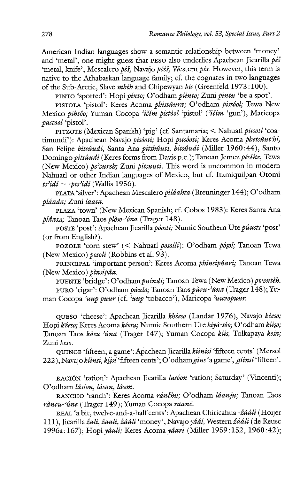American Indian languages show a semantic relationship between 'money' and 'metal', one might guess that PESO also underlies Apachean Jicarilla  $p \acute{\epsilon} s$ 'metal, knife', Mescalero péš, Navajo pééš, Western pés. However, this term is native to the Athabaskan language family; cf. the cognates in two languages of the Sub-Arctic, Slave mbéh and Chipewyan bis (Greenfeld 1973:100).

PINTO 'spotted': Hopi pinto; O'odham piinto; Zuni pintu 'be a spot'.

PISTOLA 'pistol': Keres Acoma phistuura; O'odham pistóol; Tewa New Mexico pihtôo; Yuman Cocopa 'ičím pistóol 'pistol' ('ičím 'gun'), Maricopa pastool 'pistol'.

PITZOTE (Mexican Spanish) 'pig' (cf. Santamaría; < Nahuatl pitsotl 'coatimundi'): Apachean Navajo pisóoti; Hopi pitsóoti; Keres Acoma phetsûut'hi, San Felipe bitsûudi, Santa Ana pitshûutī, bitsûudi (Miller 1960:44), Santo Domingo *pitsûudi* (Keres forms from Davis p.c.); Tanoan Jemez pésiite, Tewa (New Mexico) pe'cureh; Zuni pitsuuti. This word is uncommon in modern Nahuatl or other Indian languages of Mexico, but cf. Itzmiquilpan Otomi ts'idi ~ -pts'idi (Wallis 1956).

PLATA 'silver': Apachean Mescalero piléahta (Breuninger 144); O'odham plaada; Zuni laata.

PLAZA 'town' (New Mexican Spanish; cf. Cobos 1983): Keres Santa Ana plâasa; Tanoan Taos plòso-'óna (Trager 148).

POSTE 'post': Apachean Jicarilla póosti; Numic Southern Ute púust1 'post' (or from English?).

POZOLE 'corn stew' (< Nahuatl posolli): O'odham pósol; Tanoan Tewa (New Mexico) posoli (Robbins et al. 93).

PRINCIPAL 'important person': Keres Acoma phinsipdari; Tanoan Tewa (New Mexico) pinsipáa.

PUENTE 'bridge': O'odham puindi; Tanoan Tewa (New Mexico) pwenteh. PURO 'cigar': O'odham púulo; Tanoan Taos puru-'úna (Trager 148); Yuman Cocopa uup puur (cf. uup 'tobacco'), Maricopa 'uuvopuur.

QUESO 'cheese': Apachean Jicarilla khéeso (Landar 1976), Navajo kéeso; Hopi kéeso; Keres Acoma kéesu; Numic Southern Ute kiyá-sóo; O'odham kíiso; Tanoan Taos kàsu-'úna (Trager 147); Yuman Cocopa kiis, Tolkapaya kesa; Zuni keso.

QUINCE 'fifteen; a game': Apachean Jicarilla kiinisi 'fifteen cents' (Mersol 222), Navajo kiinsi, kiisi 'fifteen cents'; O'odham gins 'a game', giinsi 'fifteen'.

RACIÓN 'ration': Apachean Jicarilla lasóon 'ration; Saturday' (Vincenti); O'odham lásion, lásan, láson.

RANCHO 'ranch': Keres Acoma ránčhu; O'odham láanju; Tanoan Taos ràncu-'úne (Trager 149); Yuman Cocopa raañč.

REAL 'a bit, twelve-and-a-half cents': Apachean Chiricahua -žáálì (Hoijer 111), Jicarilla žali, žaali, žááli 'money', Navajo yáál, Western žááli (de Reuse 1996a:167); Hopi yáali; Keres Acoma yáari (Miller 1959:152, 1960:42);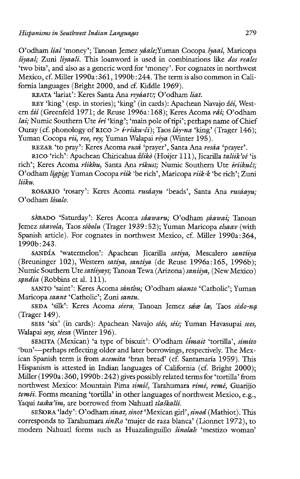O'odham *lial* 'money'; Tanoan Jemez yâale; Yuman Cocopa šyaal, Maricopa styaal; Zani liyaalt. This loanword is used in combinations like dos reales 'two bits', and also as a generic word for 'money'. For cognates in northwest Mexico, cf. Miller 1990a:361, 1990b:244. The term is also common in California languages (Bright 2000, and cf. Kiddle 1969).

REATA 'lariat': Keres Santa Ana reváatu; O'odham liat.

REY 'king' (esp. in stories); 'king' (in cards): Apachean Navajo žéí, Western žíí (Greenfeld 1971; de Reuse 1996a: 168); Keres Acoma rái; O'odham *lai*; Numic Southern Ute  $\overrightarrow{iri}$  'king'; 'main pole of tipi'; perhaps name of Chief Ouray (cf. phonology of RICO  $> i$ -riiku-či); Taos láy-na 'king' (Trager 146); Yuman Cocopa rii, ree, rev; Yuman Walapai réva (Winter 195).

REZAR 'to pray': Keres Acoma rusá 'prayer', Santa Ana resáa 'prayer'.

RICO 'rich': Apachean Chiricahua žiikò (Hoijer 111), Jicarilla taliik'oé 'is rich'; Keres Acoma rîikhu, Santa Ana ríkusı; Numic Southern Ute iríikučı; O'odham ligpig; Yuman Cocopa riik 'be rich', Maricopa riik-k 'be rich'; Zuni litku.

ROSARIO 'rosary': Keres Acoma rusâayu 'beads', Santa Ana rusâayu; O'odham Jésalo.

SÁBADO 'Saturday': Keres Acoma sáawaru; O'odham sáawai; Tanoan Jemez sáavola, Taos sóbolu (Trager 1939:52); Yuman Maricopa elsaav (with Spanish article). For cognates in northwest Mexico, cf. Miller 1990a:364, 1990b:243.

SANDÍA 'watermelon': Apachean Jicarilla satiya, Mescalero santiiya (Breuninger 102), Western satiya, santiya (de Reuse 1996a:165, 1996b); Numic Southern Ute satiiyayz; Tanoan Tewa (Arizona) saniiya, (New Mexico) sandia (Robbins et al. 111).

SANTO 'saint': Keres Acoma sánthu; O'odham sáanto 'Catholic'; Yuman Maricopa saant 'Catholic'; Zuni santu.

SEDA 'silk': Keres Acoma séera; Tanoan Jemez sée læ, Taos sèdo-na (Trager 149).

SEIS 'six' (in cards): Apachean Navajo séés, séis; Yuman Havasupai sees, Walapai seys, séesa (Winter 196).

SEMITA (Mexican) 'a type of biscuit': O'odham che itortilla', simito 'bun'—perhaps reflecting older and later borrowings, respectively. The Mexican Spanish term is from acemita 'bran bread' (cf. Santamaria 1959). This Hispanism is attested in Indian languages of California (cf. Bright 2000); Miller (1990a: 360, 1990b:242) gives possibly related terms for 'tortilla' from northwest Mexico: Mountain Pima timic, Tarahumara rimé, remé, Guarijio teméi. Forms meaning 'tortilla' in other languages of northwest Mexico, e.g., Yaqui taska'im, are borrowed from Nahuatl tlaškalli.

SENORA 'lady': O'odham sinat, sinot 'Mexican girl', sinod (Mathiot). This corresponds to Tarahumara  $sinRo$  'mujer de raza blanca' (Lionnet 1972), to modern Nahuatl forms such as Huazalinguillo sinolah 'mestizo woman'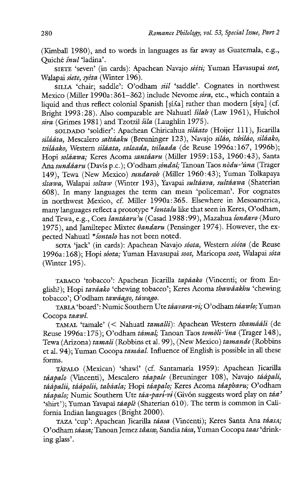(Kimball 1980), and to words in languages as far away as Guatemala, e.g., Quiché śnul 'ladina'.

SIETE 'seven' (in cards): Apachean Navajo sééti; Yuman Havasupai seet, Walapai siete, syéta (Winter 196).

sILLA 'chair; saddle': O'odham siil 'saddle'. Cognates in northwest Mexico (Miller 1990a:  $361-362$ ) include Nevome sira, etc., which contain a liquid and thus reflect colonial Spanish [si/a] rather than modern [siya] (cf. Bright 1993:28). Also comparable are Nahuatl *šilah* (Law 1961), Huichol sira (Grimes 1981) and Tzotzil šila (Laughlin 1975).

SOLDADO 'soldier': Apachean Chiricahua siláato (Hoijer 111), Jicarilla silááta, Mescalero sattáaku (Breuninger 123), Navajo siláo, tshiláo, siláako, tsiláako, Western siláata, salaada, tsilaada (de Reuse 1996a:167, 1996b); Hopi soldawa; Keres Acoma santéaru (Miller 1959:153, 1960:43), Santa Ana sundágru (Davis p.c.); O'odham sóndal; Tanoan Taos nòdu-'úna (Trager 149), Tewa (New Mexico) sundaroh (Miller 1960:43); Yuman Tolkapaya  $s$ ltawa, Walapai soltaw (Winter 193), Yavapai sultáava, sultáawa (Shaterian 608). In many languages the term can mean 'policeman'. For cognates in northwest Mexico, cf. Miller 1990a:365. Elsewhere in Mesoamerica, many languages reflect a prototype \* sontalu like that seen in Keres, O'odham, and Tewa, e.g., Cora šantáaru<sup>2</sup>u (Casad 1988:99), Mazahua šondaro (Muro 1975), and Jamiltepec Mixtec  $\theta$ andaru (Pensinger 1974). However, the expected Nahuatl \*sontalo has not been noted.

SOTA 'jack' (in cards): Apachean Navajo sóota, Western sóóta (de Reuse 1996a:168); Hopi séota; Yuman Havasupai soot, Maricopa soot, Walapai séta (Winter 195).

TABACO 'tobacco': Apachean Jicarilla tapáako (Vincenti; or from English?); Hopi taváako 'chewing tobacco'; Keres Acoma thawâakhu 'chewing tobacco'; O'odham tawdago, tawago.

TABLA 'board': Numic Southern Ute táavara-vi; O'odham táawlo; Yuman Cocopa taawl.

TAMAL 'tamale' (< Nahuatl tamalli): Apachean Western thamááli (de Reuse 1996a:175); O'odham támal; Tanoan Taos tomòli-'ína (Trager 148), Tewa (Arizona) tamali (Robbins et al. 99), (New Mexico) tamande (Robbins et al. 94); Yuman Cocopa taméal. Influence of English is possible in all these forms.

TAPALO (Mexican) 'shawl' (cf. Santamaria 1959): Apachean Jicarilla táapalo (Vincenti), Mescalero táapale (Breuninger 108), Navajo táápalí, táápalii, táápolii, tabáala; Hopi táapalo; Keres Acoma táapharu; O'odham  $t\acute{a}apalo$ ; Numic Southern Ute  $t\acute{a}a$ -pari-vi (Givón suggests word play on  $t\acute{a}a$ <sup>2</sup> 'shirt'); Yuman Yavapai táaplè (Shaterian 610). The term is common in California Indian languages (Bright 2000).

TAZA 'cup': Apachean Jicarilla táasa (Vincenti); Keres Santa Ana táasa; O'odham táasa; Tanoan Jemez táasæ, Sandia tása, Yuman Cocopa taas 'drinking glass'.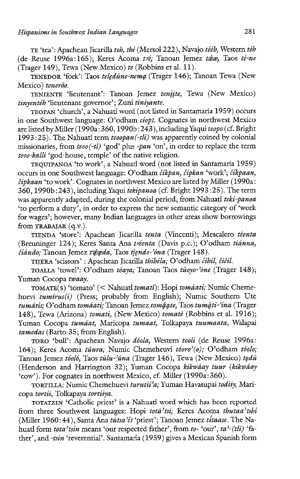TE 'tea': Apachean Jicarilla teh, thé (Mersol 222), Navajo tééh, Western téh (de Reuse 1996a:165); Keres Acoma tré: Tanoan Jemez téae, Taos té-ne  $(Trager 149)$ , Tewa (New Mexico) te (Robbins et al. 11).

TENEDOR 'fork': Taos teledúne-nema (Trager 146); Tanoan Tewa (New Mexico) teneróo.

TENIENTE 'lieutenant': Tanoan Jemez tenjjte, Tewa (New Mexico) tinyentéh 'lieutenant governor'; Zuni tiniyante.

TEOPAN 'church', a Nahuatl word (not listed in Santamaria 1959) occurs in one Southwest language: O'odham céopr. Cognates in northwest Mexico are listed by Miller (1990a: 360, 1990b:  $243$ ), including Yaqui teopo (cf. Bright 1993:25). The Nahuatl term  $teoplan(-tli)$  was apparently coined by colonial missionaries, from teoo(-tl) 'god' plus -pan 'on', in order to replace the term teoo-kall: 'god-house, temple' of the native religion.

TEQUIPANOA 'to work', a Nahuatl word (not listed in Santamaria 1959) occurs in one Southwest language: O'odham číkpan, čípkan 'work'; číkpaan, cipkaan 'to work'. Cognates in northwest Mexico are listed by Miller (1990a: 360, 1990b:243), including Yaqui tekipanoa (cf. Bright 1993:25). The term was apparently adapted, during the colonial period, from Nahuatl teki-panoa 'to perform a duty', in order to express the new semantic category of 'work for wages'; however, many Indian languages in other areas show borrowings from TRABAJAR (q.v.).

TIENDA 'store': Apachean Jicarilla tenta (Vincenti); Mescalero téenta (Breuninger 124); Keres Santa Ana tvéenta (Davis p.c.); O'odham tianna, čiándo; Tanoan Jemez t'égeda, Taos tìendo-'óna (Trager 148).

TIJERA 'scissors' : Apachean Jicarilla thihéla; O'odham ćihil, čičil.

TOALLA 'towel': O'odham tóaya; Tanoan Taos tùoyo-'óne (Trager 148); Yuman Cocopa twaay.

TOMATE(S) 'tomato' (< Nahuatl tomatl): Hopi toméati; Numic Chemehuevi  $tumírus(i)$  (Press; probably from English); Numic Southern Ute tumátis; O'odham tomáati; Tanoan Jemez tomáate, Taos tumàti-'ína (Trager 148), Tewa (Arizona) tomati, (New Mexico) tomaté (Robbins et al. 1916); Yuman Cocopa tuméat, Maricopa tumaat, Tolkapaya tuumaata, Walapai tamedas (Barto 35; from English).

TORO 'bull': Apachean Navajo déola, Western tooli (de Reuse 1996a: 164); Keres Acoma túura; Numic Chemeheuvi tóoro'(o); O'odham tóolo; Tanoan Jemez tóoló, Taos tùlu-'úna (Trager 146), Tewa (New Mexico) todù (Henderson and Harrington 32); Yuman Cocopa kikwáay tuur (kikwáay 'cow'). For cognates in northwest Mexico, cf. Miller (1990a:360).

TORTILLA: Numic Chemehuevi turutii'a; Yuman Havasupai todiiy, Maricopa tortii, Tolkapaya tortiiya.

TOTATZIN 'Catholic priest'? is a Nahuatl word which has been reported from three Southwest languages: Hopi totá'tsi; Keres Acoma thutaa'tshi (Miller 1960:44), Santa Ana tútsa'ér 'priest'; Tanoan Jemez títaase. The Nahuatl form tota'tsin means 'our respected father', from to- 'our', ta'-(tli) 'father', and -tsin 'reverential'. Santamaría (1959) gives a Mexican Spanish form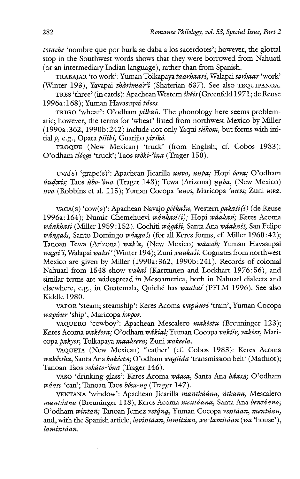totache 'nombre que por burla se daba a los sacerdotes'; however, the glottal stop in the Southwest words shows that they were borrowed from Nahuatl (or an intermediary Indian language), rather than from Spanish.

TRABAJAR 'to work': Yuman Tolkapaya taarhaari, Walapai torbaar 'work' (Winter 193), Yavapai thàrhmār'i (Shaterian 637). See also TEQUIPANOA.

TRES 'three' (in cards): Apachean Western čhéés (Greenfeld 1971; de Reuse 1996a:168); Yuman Havasupai zdees.

TRIGO 'wheat': O'odham *pilkañ*. The phonology here seems problematic; however, the terms for 'wheat' listed from northwest Mexico by Miller  $(1990a:362, 1990b:242)$  include not only Yaqui tiikom, but forms with initial p, e.g., Opata piliki, Guarijio pirikó.

TROQUE (New Mexican) 'truck' (from English; cf. Cobos 1983): O'odham tlóogi 'truck': Taos tròki-'ina (Trager 150).

uva(s) 'grape(s)': Apachean Jicarilla uuva, uupa; Hopi óova; O'odham *uudwis*; Taos  $\hat{u}$ bo-'óna (Trager 148); Tewa (Arizona)  $\hat{u}$ uba, (New Mexico) uva (Robbins et al. 115); Yuman Cocopa 'uuvs, Maricopa 'uuvs; Zuni uwa.

vaca(s) 'cow(s)': Apachean Navajo péékasit, Western pakasi(i) (de Reuse 1996a:164); Numic Chemehuevi wánkasi(i); Hopi wáakasi; Keres Acoma wáakhaši (Miller 1959:152), Cochiti wágáši, Santa Ana wáakaši, San Felipe wáagaši, Santo Domingo wáagaši (for all Keres forms, cf. Miller 1960:42); Tanoan Tewa (Arizona) wak'a, (New Mexico) wéasih; Yaman Havasupai wagsi'i, Walapai waksi' (Winter 194); Zuni waakasi. Cognates from northwest Mexico are given by Miller (1990a:362, 1990b:241). Records of colonial Nahuatl from 1548 show wakas (Karttunen and Lockhart 1976:56), and similar terms are widespread in Mesoamerica, both in Nahuatl dialects and elsewhere, e.g., in Guatemala, Quiché has waakas (PFLM 1996). See also Kiddle 1980.

VAPOR 'steam; steamship': Keres Acoma wapúuri 'train'; Yuman Cocopa wapúur 'ship', Maricopa kwpor.

VAQUERO 'cowboy': Apachean Mescalero makéetu (Breuninger 123); Keres Acoma wakéera; O'odham wékial; Yuman Cocopa vakiir, vakéer, Maricopa pakyer, Tolkapaya maakeera; Zuni wakeela.

VAQUETA (New Mexican) 'leather' (cf. Cobos 1983): Keres Acoma wakéetha, Santa Ana bakéeta; O'odham wagiida 'transmission belt' (Mathiot); Tanoan Taos vokàto-'óna (Trager 146).

vaso 'drinking glass': Keres Acoma waasa, Santa Ana baasa; O'odham wáaso 'can'; Tanoan Taos bósu-na (Trager 147).

VENTANA 'window': Apachean Jicarilla mantháána, ńthana, Mescalero mantáana (Breuninger 118); Keres Acoma mentáana, Santa Ana bentáana; O'odham wintañ; Tanoan Jemez vetána, Yuman Cocopa ventáan, mentáan, and, with the Spanish article, *lavintáan*, lamitáan, wa-lamitáan (wa 'house'), lamintáan.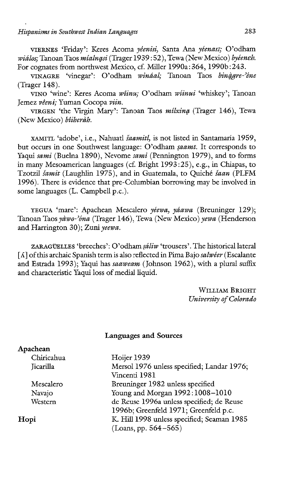VIERNES 'Friday': Keres Acoma yéenisi, Santa Ana yéenasl; O'odham wiálos; Tanoan Taos míalnasi (Trager 1939 : 52), Tewa (New Mexico) byéeneh. For cognates from northwest Mexico, cf. Miller 1990a: 364, 1990b:243.

VINAGRE 'vinegar': O'odham wináal; Tanoan Taos binàare-'éne (Trager 148).

VINO 'wine': Keres Acoma wiinu; O'odham wiinui 'whiskey'; Tanoan Jemez véeni; Yuman Cocopa viin.

VIRGEN 'the Virgin Mary': Tanoan Taos milxing (Trager 146), Tewa (New Mexico) bîiheràh.

XAMITL 'adobe', i.e., Nahuatl saamitl, is not listed in Santamaria 1959, but occurs in one Southwest language: O'odham saamt. It corresponds to Yaqui sami (Buelna 1890), Nevome sami (Pennington 1979), and to forms in many Mesoamerican languages (cf. Bright 1993:25), e.g., in Chiapas, to Tzotzil šamit (Laughlin 1975), and in Guatemala, to Quiché šaan (PLFM 1996). There is evidence that pre-Columbian borrowing may be involved in some languages (L. Campbell p.c.).

YEGUA 'mare': Apachean Mescalero yéewa, yáawa (Breuninger 129); Tanoan Taos yawo-'ona (Trager 146), Tewa (New Mexico) yewa (Henderson and Harrington 30); Zuni yeewa.

ZARAGÜELLES 'breeches': O'odham sáliw 'trousers'. The historical lateral  $\lceil \Lambda \rceil$  of this archaic Spanish term is also reflected in Pima Bajo salwéer (Escalante and Estrada 1993); Yaqui has saaweam (Johnson 1962), with a plural suffix and characteristic Yaqui loss of medial liquid.

> WILLIAM BRIGHT University of Colorado

## Languages and Sources

| Apachean   |                                            |
|------------|--------------------------------------------|
| Chiricahua | Hoijer 1939                                |
| Jicarilla  | Mersol 1976 unless specified; Landar 1976; |
|            | Vincenti 1981                              |
| Mescalero  | Breuninger 1982 unless specified           |
| Navajo     | Young and Morgan 1992:1008-1010            |
| Western    | de Reuse 1996a unless specified; de Reuse  |
|            | 1996b; Greenfeld 1971; Greenfeld p.c.      |
| Hopi       | K. Hill 1998 unless specified; Seaman 1985 |
|            | $(Loans, pp. 564 - 565)$                   |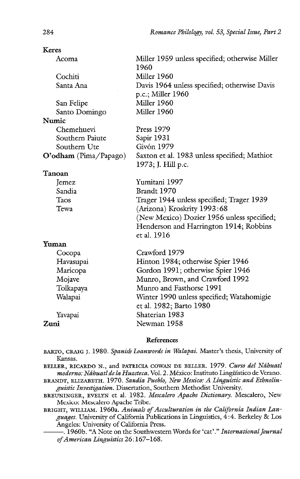| Acoma                 | Miller 1959 unless specified; otherwise Miller<br>1960             |
|-----------------------|--------------------------------------------------------------------|
| Cochiti               | Miller 1960                                                        |
| Santa Ana             | Davis 1964 unless specified; otherwise Davis                       |
|                       | p.c.; Miller 1960                                                  |
| San Felipe            | Miller 1960                                                        |
| Santo Domingo         | Miller 1960                                                        |
| Numic                 |                                                                    |
| Chemehuevi            | Press 1979                                                         |
| Southern Paiute       | Sapir 1931                                                         |
| Southern Ute          | Givón 1979                                                         |
| O'odham (Pima/Papago) | Saxton et al. 1983 unless specified; Mathiot<br>1973; J. Hill p.c. |
| Tanoan                |                                                                    |
| Jemez                 | Yumitani 1997                                                      |
| Sandia                | Brandt 1970                                                        |
| Taos                  | Trager 1944 unless specified; Trager 1939                          |
| Tewa                  | (Arizona) Kroskrity 1993:68                                        |
|                       | (New Mexico) Dozier 1956 unless specified;                         |
|                       | Henderson and Harrington 1914; Robbins<br>et al. 1916              |
| Yuman                 |                                                                    |
| Cocopa                | Crawford 1979                                                      |
| Havasupai             | Hinton 1984; otherwise Spier 1946                                  |
| Maricopa              | Gordon 1991; otherwise Spier 1946                                  |
| Mojave                | Munro, Brown, and Crawford 1992                                    |
| Tolkapaya             | Munro and Fasthorse 1991                                           |
| Walapai               | Winter 1990 unless specified; Watahomigie                          |
|                       | et al. 1982; Barto 1980                                            |
| Yavapai               | Shaterian 1983                                                     |
| Zuni                  | Newman 1958                                                        |
|                       |                                                                    |

## References

Kansas. BARTO, CRAIG J. 1980. Spanish Loanwords in Walapai. Master's thesis, University of

BELLER, RICARDO N., and PATRICIA COWAN DE BELLER. 1979. Curso del Náhuatl moderno: Náhuatl de la Huasteca. Vol. 2. México: Instituto Lingüístico de Verano.

BRANDT, ELIZABETH. 1970. Sandia Pueblo, New Mexico: A Linguistic and Ethnolinguistic Investigation. Dissertation, Southern Methodist University.

BREUNINGER, EVELYN et al. 1982. Mescalero Apache Dictionary. Mescalero, New Mexico: Mescalero Apache Tribe.

 $\overline{\phantom{a}}$ BRIGHT, WILLIAM. 1960a. Animals of Acculturation in the California Indian Languages. University of California Publications in Linguistics, 4:4. Berkeley & Los Angeles: University of California Press.

-. 1960b. "A Note on the Southwestern Words for 'cat'." International Journal of American Linguistics 26:167-168.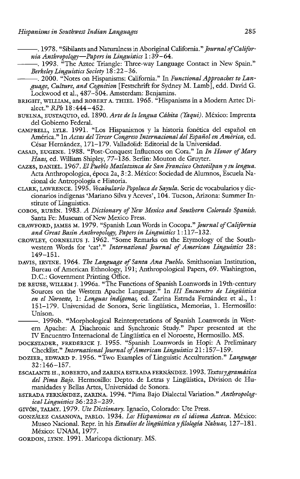<sup>-</sup>. 1978. "Sibilants and Naturalness in Aboriginal California." *Journal of Califor*nia Anthropology—Papers in Linguistics  $1:39-64$ .

- . 1993. "The Aztec Triangle: Three-way Language Contact in New Spain." Berkeley Linguistics Society 18 :22—36.  $\overline{a}$  $\overline{a}$ 
	- $-$ . 2000. "Notes on Hispanisms: California." In Functional Approaches to Language, Culture, and Cognition [Festschrift for Sydney M. Lamb], edd. David G. Lockwood et al., 487-504. Amsterdam: Benjamins.
- BRIGHT, WILLIAM, and ROBERT A. THIEL. 1965. "Hispanisms in a Modern Aztec Dialect." RPh 18 :444-452.
- BUELNA, EUSTAQUIO, ed. 1890. Arte de la lengua Cahita (Yaqui). México: Imprenta del Gobierno Federal.
- CAMPBELL, LYLE. 1991. "Los Hispanismos y la historia fonética del espafiol en América." In Actas del Tercer Congreso Internacional del Español en América, ed. César Hernández, 171-179. Valladolid: Editorial de la Universidad.
- CASAD, EUGENE. 1988. "Post-Conquest Influences on Cora." In In Honor of Mary Haas, ed. William Shipley, 77-136. Berlin: Mouton de Gruyter.
- CAZES, DANIEL. 1967. El Pueblo Matlatzinca de San Francisco Oxtotilpan y su lengua. Acta Anthropologica, época 2a, 3:2. México: Sociedad de Alumnos, Escuela Nacional de Antropologia e Historia.
- CLARK, LAWRENCE. 1995. Vocabulario Popoluca de Sayula. Serie de vocabularios y diccionarios indigenas 'Mariano Silva y Aceves', 104. Tucson, Arizona: Summer Institute of Linguistics.
- COBOS, RUBEN. 1983. A Dictionary of New Mexico and Southern Colorado Spanish. Santa Fe: Museum of New Mexico Press.
- CRAWFORD, JAMES M. 1979. "Spanish Loan Words in Cocopa." Journal of California and Great Basin Anthropology, Papers in Linguistics 1:117-132.
- CROWLEY, CORNELIUS J. 1962. "Some Remarks on the Etymology of the Southwestern Words for 'cat'." International Journal of American Linguistics 28: 149-151.
- DAVIS, IRVINE. 1964. The Language of Santa Ana Pueblo. Smithsonian Institution, Bureau of American Ethnology, 191; Anthropological Papers, 69. Washington, D.C.: Government Printing Office.
- DE REUSE, WILLEM J. 1996a. "The Functions of Spanish Loanwords in 19th-century<br>Sources on the Western Apache Language." In *III Encuentro de Lingüística*<br>*en el Noroeste*, 1: *Lenguas indígenas*, ed. Zarina Estrada Fernánd Sources on the Western Apache Language." In III Encuentro de Lingüística en el Noroeste, 1: Lenguas indígenas, ed. Zarina Estrada Fernández et al., 1: 151-179. Universidad de Sonora, Serie lingiiistica, Memorias, 1. Hermosillo: Unison.
	- . 1996b. "Morphological Reinterpretations of Spanish Loanwords in Western Apache: A Diachronic and Synchronic Study." Paper presented at the IV Encuentro Internacional de Lingiiistica en el Noroeste, Hermosillo. MS.
- DOCKSTADER, FREDERICK J. 1955. "Spanish Loanwords in Hopi: A Preliminary Checklist." International Journal of American Linguistics 21:157-159.
- DOZIER, EDWARD P. 1956. "Two Examples of Linguistic Acculturation." Language 32:146-157.
- ESCALANTE H., ROBERTO, and ZARINA ESTRADA FERNANDEZ. 1993. Textosygramatica del Pima Bajo. Hermosillo: Depto. de Letras y Lingüística, Division de Humanidades y Bellas Artes, Universidad de Sonora.
- ESTRADA FERNÁNDEZ, ZARINA. 1994. "Pima Bajo Dialectal Variation." Anthropological Linguistics 36:223-239.
- GIVÓN, TALMY. 1979. Ute Dictionary. Ignacio, Colorado: Ute Press.
- GONZALEZ CASANOVA, PABLO. 1934. Los Hispanismos en el idioma Azteca. México: Museo Nacional. Repr. in his Estudios de lingüística y filología Nahuas, 127-181. México: UNAM, 1977.
- GORDON, LYNN. 1991. Maricopa dictionary. MS.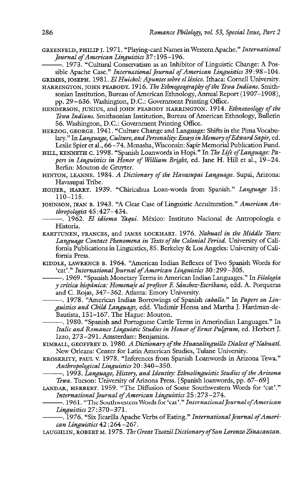- GREENFELD, PHILIP J. 1971. "Playing-card Names in Western Apache." International<br>Journal of American Linguistics 37:195–196.<br>——— 1973. "Cultural Conservatism as an Inhibitor of Linguistic Change: A Pos-Journal of American Linguistics 37 :195-196.
	- . 1973. "Cultural Conservatism as an Inhibitor of Linguistic Change: A Possible Apache Case." International Journal of American Linguistics 39:98-104.
- GRIMES, JOSEPH. 1981. El Huichol: Apuntes sobre el léxico. Ithaca: Cornell University.
- HARRINGTON, JOHN PEABODY. 1916. The Ethnogeography of the Tewa Indians. Smithsonian Institution, Bureau of American Ethnology, Annual Report (1907-1908), pp. 29-636. Washington, D.C.: Government Printing Office.
- HENDERSON, JUNIUS, and JOHN PEABODY HARRINGTON. 1914. Ethnozoology of the Tewa Indians. Smithsonian Institution, Bureau of American Ethnology, Bulletin 56. Washington, D.C.: Government Printing Office.
- HERZOG, GEORGE. 1941. "Culture Change and Language: Shifts in the Pima Vocabulary." In Language, Culture, and Personality: Essaysin Memory of Edward Sapir, ed. Leslie Spier et al., 66-74. Menasha, Wisconsin: Sapir Memorial Publication Fund.
- HILL, KENNETH C. 1998. "Spanish Loanwords in Hopi." In The Life of Language: Papers in Linguistics in Honor of William Bright, ed. Jane H. Hill et al., 19-24. Berlin: Mouton de Gruyter.
- HINTON, LEANNE. 1984. A Dictionary of the Havasupai Language. Supai, Arizona: Havasupai Tribe.
- HOVER, HARRY. 1939. "Chiricahua Loan-words from Spanish." Language 15: 110-115.
- JOHNSON, JEAN B. 1943. "A Clear Case of Linguistic Acculturation." American An thropolagist 45 :427-434.
	- . 1962. El idioma Yagui. México: Instituto Nacional de Antropologia e Historia.
- KARTTUNEN, FRANCES, and JAMES LOCKHART. 1976. Nahuatl in the Middle Years: Language Contact Phenomena in Texts of the Colonial Period. University of California Publications in Linguistics, 85. Berkeley & Los Angeles: University of California Press.
- KIDDLE, LAWRENCE B. 1964. "American Indian Reflexes of Two Spanish Words for<br>
'cat'." *International Journal of American Linguistics* 30:299–305.<br>
--------- 1969. "Spanish Monetary Terms in American Indian Languages." In 'cat'." International Journal of American Linguistics 30:299-305.
	- . 1969. "Spanish Monetary Terms in American Indian Languages." In Filologia y crítica hispánica: Homenaje al profesor F. Sánchez-Escribano, edd. A. Porqueras and C. Rojas, 347-362. Atlanta: Emory University.
- -. 1978. "American Indian Borrowings of Spanish caballo." In Papers on Linguistics and Child Language, edd. Vladimir Honsa and Martha J. Hardman-de-Bautista, 151-167. The Hague: Mouton.  $\overline{a}$  $\overline{a}$ 
	- . 1980. "Spanish and Portuguese Cattle Terms in Amerindian Languages." In Italic and Romance Linguistic Studies in Honor of Ernst Pulgram, ed. Herbert J. Izzo, 273-291. Amsterdam: Benjamins.
- KIMBALL, GEOFFREY D. 1980. A Dictionary of the Huazalinguillo Dialect of Nahuatl. New Orleans: Center for Latin American Studies, Tulane University.
- KROSKRITY, PAUL V. 1978. "Inferences from Spanish Loanwords in Arizona Tewa."<br>Anthropological Linguistics 20:340–350.<br>--------- 1993. Language. History, and Identity: Ethnolinguistic Studies of the Arizona. Anthropological Linguistics 20 :340—350.
	- –, 1993. Language, History, and Identity: Ethnolinguistic Studies of the Arizona Tewa. Tucson: University of Arizona Press. [Spanish loanwords, pp. 67-69]
- International Journal of American Linguistics 25:273-274.
- Tewa. Tucson: University of Arizona Press. [Spanish loanwords, pp. 67–69]<br>
LANDAR, HERBERT. 1959. "The Diffusion of Some Southwestern Words for 'cat'."<br>
International Journal of American Linguistics 25:273–274.<br>
1961. "The -. 1961. "The Southwestern Words for 'cat'." International Journal of American Linguistics 27:370-371.
	- . 1976. "Six Jicarilla Apache Verbs of Eating." International Journal of American Linguistics 42 :264-267.
- LAUGHLIN, ROBERT M. 1975. The Great Tzotzil Dictionary of San Lorenzo Zinacantan.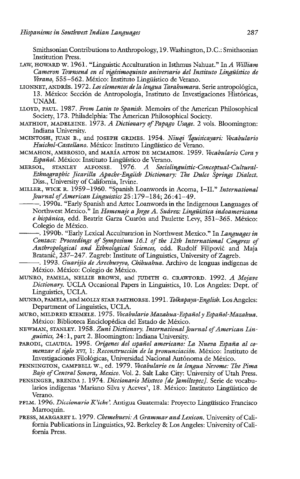Smithsonian Contributions to Anthropology, 19. Washington, D.C.: Smithsonian Institution Press.

- LAW, HOWARD W. 1961. "Linguistic Acculturation in Isthmus Nahuat." In A William Cameron Townsend en el vigtsimoquinto aniversario del Instituto Lingiistico de Verano, 555-562. México: Instituto Lingüístico de Verano.
- LIONNET, ANDRES. 1972. Los elementos de la lengua Tarahumara. Serie antropolégica, 13. México: Sección de Antropología, Instituto de Investigaciones Históricas, UNAM.
- LLOYD, PAUL. 1987. From Latin to Spanish. Memoirs of the American Philosophical Society, 173. Philadelphia: The American Philosophical Society.
- MATHIOT, MADELEINE. 1973. A Dictionary of Papago Usage. 2 vols. Bloomington: Indiana University.
- MCINTOSH, JUAN B., and JOSEPH GRIMES. 1954. Nixgi 'Iquisicayari: Vocabulario Huichol-Castellano. México: Instituto Lingüístico de Verano.
- MCMAHON, AMBROSIO, and MARÍA AITON DE MCMAHON. 1959. Vocabulario Cora y Español. México: Instituto Lingüístico de Verano.
- MERSOL, STANLEY ALFONSE. 1976. A Sociolinguistic-Conceptual-Cultural-Ethnographic Jicarilla Apache-English Dictionary: The Dulce Springs Dialect. Diss., University of California, Irvine.
- MILLER, WICK R. 1959–1960. "Spanish Loanwords in Acoma, I–II." International<br>Journal of American Linguistics 25:179–184; 26:41–49.<br>———— 1990a. "Early Spanish and Aztec Loanwords in the Indigenous Languages of Journal of American Linguistics 25 :179-184; 26:41-49.
- . 1990a. "Early Spanish and Aztec Loanwords in the Indigenous Languages of Northwest Mexico." In Homenaje a Jorge A. Suárez: Lingüística indoamericana e hispánica, edd. Beatriz Garza Cuarón and Paulette Levy, 351-365. México: Colegio de México.  $\overline{a}$
- . 1990b. "Early Lexical Acculturation in Northwest Mexico." In Languages in Contact: Proceedings of Symposium 16.1 of the 12th International Congress of Anthropological and Ethnological Sciences, edd. Rudolf Filipovié and Maja Bratani¢, 237-247. Zagreb: Institute of Linguistics, University of Zagreb.  $rac{C}{C}$
- . 1993. Guarijio de Arechuvyvo, Chihuahua. Archivo de lenguas indigenas de México. México: Colegio de México.
- MUNRO, PAMELA, NELLIE BROWN, and JUDITH G. CRAWFORD. 1992. A Mojave Dictionary. UCLA Occasional Papers in Linguistics, 10. Los Angeles: Dept. of Linguistics, UCLA.
- MUNRO, PAMELA, and MOLLY STAR FASTHORSE. 1991. Tolkapaya-English. Los Angeles: Department of Linguistics, UCLA.
- MURO, MILDRED KIEMELE. 1975. Vocabulario Mazahua-Espanol y Espanol-Mazahua. México: Biblioteca Enciclopédica del Estado de México.
- NEWMAN, STANLEY. 1958. Zuni Dictionary. International Journal of American Linguistics, 24:1, part 2. Bloomington: Indiana University.
- PARODI, CLAUDIA. 1995. Orígenes del español americano: La Nueva España al comenzar el siglo XVI, 1: Reconstruccion de la pronunciacién. México: Instituto de Investigaciones Filológicas, Universidad Nacional Autónoma de México.
- PENNINGTON, CAMPBELL W., ed. 1979. Vocabulario en la lengua Nevome: The Pima Bajo of Central Sonora, Mexico. Vol. 2. Salt Lake City: University of Utah Press.
- PENSINGER, BRENDA J. 1974. Diccionario Mixteco [de Jamiltepec]. Serie de vocabularios indígenas 'Mariano Silva y Aceves', 18. México: Instituto Lingüístico de Verano.
- PFLM. 1996. Diccionario K'iche'. Antigua Guatemala: Proyecto Lingüístico Francisco Marroquin.
- PRESS, MARGARET L. 1979, Chemehuevi: A Grammar and Lexicon. University of California Publications in Linguistics, 92. Berkeley & Los Angeles: University of California Press.